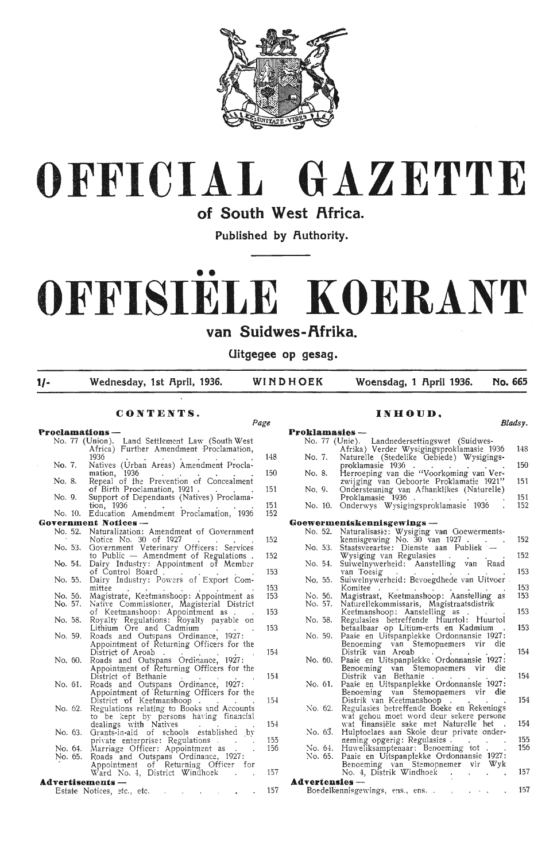

# **OFFICIAL GAZETTE**

of South West Africa.

Published by Authority.

# •• **0 FFISIELE KO ERANT**

**van Suidwes-f\frika.** 

**Uitgegee op gesag.** 

| 1/- | Wednesday, 1st April, 1936. | WINDHOEK | Woensdag, 1 April 1936. | No. 665 |
|-----|-----------------------------|----------|-------------------------|---------|
|     |                             |          |                         |         |

*Page* 

#### **CONTENTS.**

**Proclamations –**<br>No. 77 (Union). Land Settlement Law (South West Africa) Further Amendment Proclamation,<br>1936 1936 . . . . . . . . No. 7. Natives (Urban Areas) Amendment Pr,oclamation, 1936<br>No. 8. Repeal of the Prevention of Concealment of Birth Proclamation, .1921 . . . . No. 9. Support of Dependants (Nativ,es) Pr-oclamation, 1936 . . . . . . . . . No. 10. Education Amendment Proclamation, 1936<br>Government Notices -Government Notices - **Notices - Amendment of Government** Notice No. 30 of 1927 . . . . . No. 53. Government Veterinary Officers: Services<br>to Public — Amendment of Regulations . No. 54. Dairy Industry: Appointment of Member of Control Board . . . . . . No. 55. Dairy Industry: Pow2rs of Export Committee . . . . . . . . **No.** 56. Magistrate, Keetmanshoop: Appointment as **No.** 57. Native Commissioner, Magisterial District of Keetmanshoop: Appointment as . . No. 58. Royalty Regulations: Royalty payable on Lithium Ore and Cadmium . . No. 59. Roads and Outspans Ordinance, 1927: Appointment of Returning Officers for the District of Aroab . . . . . No. 60. Roads and Outspans Ordinance, 1927: Appointment of Returning Officers for the District of Bethanie<br>No. 61. Roads and Outspans Ordinance, 1927: Appointment of ·Returning Officers for the No. 62. Regulations relating to Books and Accounts to be kept by persons having financial  $dealings$  with Natives  $\qquad \qquad$  . . . . No. 63. Grants-in-aid of schools established b\· private enterprise: Regulations . . . . No. 64. Marriage Officer: Appointment as . **No.** 65. Roads and Outspans Ordinance, 1927: Appointment of Returning Officer for Ward No. 4, District Windhoek **Advertisements** - Estate Notices, etc., etc. 148 150 151 151 152 152 152 153 153 153 153 153 154 154 154 154 155 156 157 157

#### **INHOUD.**

*Bladsy.* 

|                  |         | Proklamasies --                                                                                                                 |     |
|------------------|---------|---------------------------------------------------------------------------------------------------------------------------------|-----|
|                  |         | No. 77 (Unie). Landnedersettingswet (Suidwes-<br>Afrika) Verder Wysigingsproklamasie 1936                                       | 148 |
| No. 7.           |         | Naturelle (Stedelike Gebiede) Wysigings-                                                                                        |     |
|                  |         | proklamasie 1936<br>$\mathbf{r}^{\prime}$                                                                                       | 150 |
| No. 8.<br>No. 9. |         | Herroeping van die "Voorkoming van Ver-<br>zwijging van Geboorte Proklamatie 1921"<br>Ondersteuning van Afhanklikes (Naturelle) | 151 |
|                  |         | Proklamasie 1936.                                                                                                               | 151 |
|                  | No. 10. | Onderwys Wysigingsproklamasie 1936                                                                                              | 152 |
|                  |         | Goewermentskennisgewings -                                                                                                      |     |
|                  | No. 52. | Naturalisasie: Wysiging van Goewerments-<br>kennisgewing No. 30 van 1927.                                                       | 152 |
| No. 53.          |         | Staatsveeartse: Dienste aan Publiek -                                                                                           |     |
|                  | No. 54. | Wysiging van Regulasies<br>Suiwelnywerheid: Aanstelling van Raad                                                                | 152 |
|                  |         | van Toesig                                                                                                                      | 153 |
|                  | No. 55. | Suiwelnywerheid: Bevoegdhede van Uitvoer.<br>Komitee                                                                            | 153 |
|                  | No. 56. | Magistraat, Keetmanshoop: Aanstelling as                                                                                        | 153 |
|                  | No. 57. | Naturellekommissaris, Magistraatsdistrik<br>Keetmanshoop: Aanstelling as .                                                      | 153 |
|                  | No. 58. | Regulasies betreffende Huurtol: Huurtol<br>betaalbaar op Litium-erts en Kadmium                                                 | 153 |
|                  | No. 59. | Paaie en Uitspanplekke Ordonnansie 1927:<br>Benoeming van Stemopnemers<br>vir<br>die                                            |     |
|                  | No. 60. | Distrik van Aroab<br>Paaie en Uitspanplekke Ordonnansie 1927:<br>Benoeming van Stemopnemers vir die                             | 154 |
|                  | No. 61. | Distrik van Bethanie<br>$\sim$<br>Paaie en Uitspanplekke Ordonnansie 1927:                                                      | 154 |
|                  | No. 62. | Benoeming van Stemopnemers vir die<br>Distrik van Keetmanshoop<br>Regulasies betreffende Boeke en Rekenings                     | 154 |
|                  |         | wat gehou moet word deur sekere persone<br>wat finansiële sake met Naturelle het                                                | 154 |
|                  | No. 63. | Hulptoelaes aan Skole deur private onder-<br>neming opgerig: Regulasies.                                                        | 155 |
|                  | No. 64. | Huweliksamptenaar: Benoeming tot                                                                                                | 156 |
|                  | No. 65. | Paaie en Uitspanplekke Ordonnansie 1927:<br>Benoeming van Stemopnemer vir Wyk                                                   |     |
|                  |         | No. 4, Distrik Windhoek                                                                                                         | 157 |
|                  |         | $\bf{Ad}$ vertensies —<br>Boedelkennisgewings, ens., ens. .                                                                     | 157 |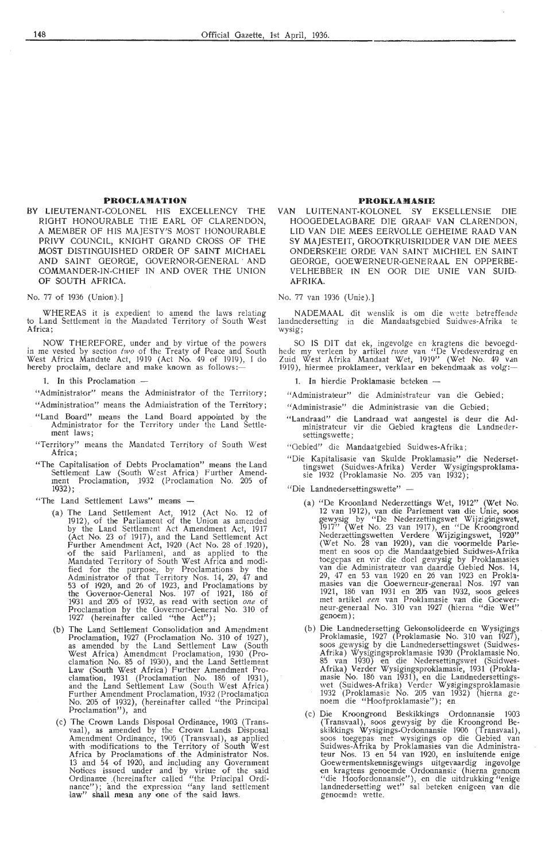#### **PROCLAMATION**

BY LIEUTENANT-COLONEL HIS EXCELLENCY THE RIGHT HONOURABLE THE EARL OF CLARENDON, A MEMBER OF HIS MAJESTY'S MOST HONOURABLE PRIVY COUNCIL, KNIGHT GRAND CROSS OF THE MOST DlSTINGUISHED ORDER OF SAINT MICHAEL AND SAINT GEORGE, GOVERNOR-GENERAL · AND COMMANDER-IN-CHIEF IN AND OVER THE UNION OF SOUTH AFRICA.

#### No. 77 of 1936 (Union). ]

WHEREAS it is expedient to amend the laws relating to Land .Settlement in the Mandated Territory of South West Africa;

NOW THEREFORE, under and by virtue of the powers in me vested by section  $\acute{t}wo$  of the Treaty of Peace and South West Africa Mandate Act, 1919 (Act No. 49 of 1919), l do hereby proclaim, declare and make known as follows:-

1. In this Proclamation -

'' Administrator" means the Administrator of the Territory; "Administration" means the Administration of the Territory;

- "Land Board" means the Land Board appointed by the Administrator for the Territory under the Land Settlement laws;
- "Territory" means the Mandated Territory of South West Africa;
- "The Capitalisation of Debts Proclamation" means the Land Settlement Law (South West Africa) Further Amendment Proclamation, 1932 (Proclamation No. 205 of 1932);

"The Land Settlement Laws" means -

- (a) The Land Settlement Act, 1912 (Act No. 12 of 1912), of the Parliament of the Union as amended by the Land Settlement Act Amendment Act, 1917 (Act No. 23 of 1917), and the Land SetUement Act Further Amendment Act, 1920 (Act No. 28 of .1920), of the said Parliament, and as applied to the Mandated Territory of South West Africa and modified for the purpose, by Proclamations by the Administrator of that Territory Nos. 14, 29, 47 and 53 of 1920, and 26 of 1923, and Proclamations by the Governor-General Nos. 197 of 1921, 186 of 1931 and 205 of 1932, as r,ead with section *one* of Proclamation by the Govemor-Oeneral No. 310 of 1927 (hereinafter called "the Act");
- (b) The Land Settlement Consolidation and Amendment Proclamation, 1927 (Proclamation No. 310 of 1927), as amended by the Land Settlement Law (South West Africa) Amendment Proclamation, 1930 (Pro-<br>clamation No. 85 of 1930), and the Land Settlement Law (South W,est Africa) Further Amendment Proclamation, 1931 (Proclamation No. 186 of 1931), and the Land Settlement Law (South West Africa) Further Amendment Proclamation, 1932 (Proclamation No. 205 of 1932), (hereinafter called "the Principal Proclamation"), and
- (c) The Crown Lands Disposal Ordinance, 1903 (Transvaal), as amended by the Crown Lands Disposal Amendment Ordinance, 1906 (Transvaal), as applied with -modifications to the Territory of South West Africa by Proclamations of. the Administrator Nos. 13 and 54 of 1920; and including any Government Notices issued under and by virtue of the said Ordinance (hereinafter called "the Principal Ordinance"); and the expression "any land settlement law" shall mean any one of the said laws.

#### **PROILLAMASIE**

VAN LUITENANT-KOLONEL SY EKSELLENSIE DIE HOOGEDELAGBARE DIE GRAAF VAN CLARENDON, LID VAN DIE MEES EERVOLLE GEHEIME RAAD VAN SY MAJESTEIT, GROOTKRUISRIDDER VAN DIE MEES ONDERSKEIE ORDE VAN SAINT MICHIEL EN SAINT GEORGE, GOEWERNEUR-GENERAAL EN OPPERBE-VELHEBBER IN EN OOR DIE UNIE VAN SUID• **AFRIKA.** 

No. 77 van 1936 (Unie).]

NADEMAAL dit wenslik is om die \\'ette betreffende landneders,etting in die Mandaatsgebied Suidwes-Afrika te wysig;

SO IS DIT dat ek, ingevolge en kragtens die bevoegdhede my verleen by artikel *twee* van "De Vredesverdrag en<br>Zuid West Afrika Mandaat Wet, 1919" (Wet No. 49 van<br>1919), hiermee proklameer, verklaar en bekendmaak as volg:—

1. In hierdie Proklamasie beteken -

- "Administrateur" die Administrateur van die Gebied;
- "Administrasie" die Administrasie van die Gebied;
- " Landraad" die Landraad wat aangestel is deur die Ad-<br>ministrateur vir die Oebied kragtens die Landneder-<br>settingswette;

"Oebied" die Mandaatgebied Suidwes-A frika;

- "Die Kapitalisasie van Skulde Proklamasie" die Nedersettingswet (Suidwes-Afrika) Verder Wysigingsprokiamasie 1932 (Proklamasie No. 205 van 1932);
- "Die Landnedersettingswette"  $-$ 
	- (a) "De Kroonland Nederzettings Wet, 1912" (Wet No. "De Kroonland Nederzettings Wet, 1912" (Wet No. 12 van 1912), van die Parlement van die Unie, soos gewysig by "De Nederzettingswet Wijzigingswet, 1917" (Wet No. 23 van 1917), en "De Kroongrond Nederz,ettingswetten Verdere Wijzigingswet, 1920" (Wet No. 28 van 1920), van die voormelde Parle-<br>ment en soos op die Mandaatgebied Suidwes-Afrika toegepas en vir die doel gewysig by Proklamasies<br>van die Administrateur van daardie Gebied Nos. 14, 29, 47 en 53 van 1920 en 26 van 1923 en Proklamasies van die Goewerneur-generaal Nos. 197 van<br>1921, 186 van 1931 en 205 van 1932, soos gelees met artikel *een* van Proklamasie van die Ooewer- neur-.generaal No. 310 van 1927 (hierna "die Wet" genoem);
	- (b) Die Landnedersetting Oekonsolideerde en Wysigings Proklamasie, 1927 (Proklamasie No. 310 van 1927), soos gewysig by die Landnedersettingswet (Suidwes-Afrika) Wysigingsproklamasie 1930 (Proklamasie No. 85 van 1930) en die Nedersettingswet (Suidwes-Afrika) Verder Wysigingsproklamasie, 1931 (Proklamasie No. 186 van 1931), en die Landnedersettingswet (Suidwes-Afrika) Verder Wysigingsproklamasie 1932 (Proklamasie No. 205 van 1932) (hierna ge-<br>noem die "Hoofproklamasie"); en
	- (c) Die Kroongrond Beskikkings Ordonnansie 1903 (Transvaal), soos gewysig by die Kroongrond Beskikkings Wysigings-Ordonnansie 1906 (Transvaal), soos toegepas met wysigings op die Gebied van Suidwes-Afrika by Proklamasies van die Administra- teur Nos. 13 en 54 van 1920, en insluitende enige Goewermentskennisgewings uitgevaardig ingevolge<br>en kragtens genoemde Ordonnansie (hierna genoem<br>"die Hoofordonnansie"), en die uitdrukking "enige landnedersetting wet" sal beteken enigeen van die genoemde wette.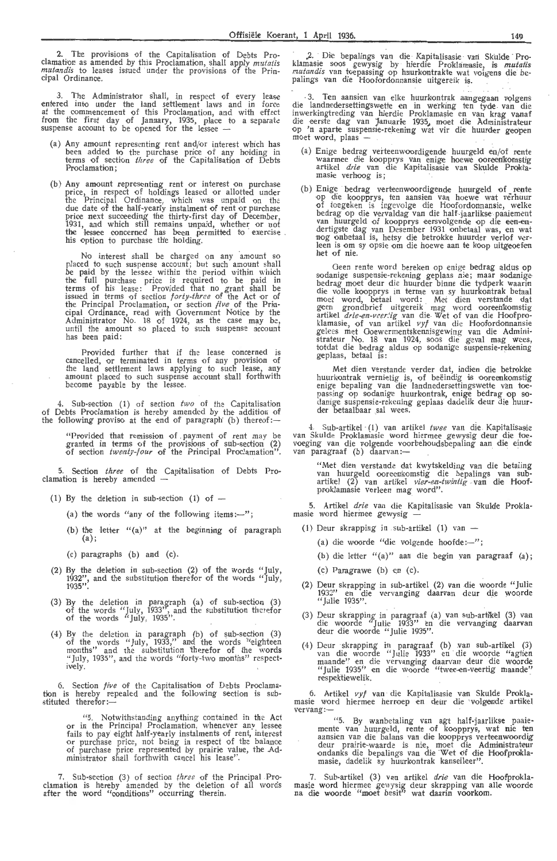2. The provisions of the Capitalisation of Debts Proclamahnn as amended *by* this Proclamahon, shall apply *mntatis mut.andis* to leases issued under the provisions of the Principal Ordinance.

3. The Administrator shall, in respect of every lease entered into under the land settlement laws and in force at the commencement of this Proclamation, and with effect from the first day of January, 1935, place to a separate suspense account to be opened for the lessee -

- (a) Any amount representing rent and/or interest which has been added to the purchase price of any holding in terms of section *three* of the Capitalisation of Debts Proclamation ;
- (b) Any amount representing rent or interest on purchase price, in respect of holdings leased or allotted under the Principal Ordinance, which was unpaid on the<br>due date of the half-yearly instalment of rent or purchase price next succeeding the thirty-first day of December, 1931, and which still remains unpaid, whether or not the lessee concerned has been permitted to exercise his option to purchase the holding.

No interest shall be charged on any amount so placed to such suspense account; but such amount shall be paid by the lessee within the period within which the full purchase price is required to be paid in terms of his lease: Provided that no grant shall be issued in terms of section *forty-three* of the Act or of the Principal Proclamation, or section *five* of the Principal Ordinance, read with Government Notice by the<br>Administrator No. 18 of 1924, as the case may be, until the amount so placed to such suspense account has been paid:

Provided further that if the lease concerned is cancelled, or terminated in terms of any provision of the land settlement laws applying to such lease, any amount placed to such suspense account shall forthwith become payable by the lessee.

4. Sub-section (1) of section *two* of the Capitalisation of Debts Proclamation is hereby amended by the addition of the following proviso at the end of paragraph (b) thereof:-

"Provided that remission of payment of rent may be granted in terms of the provisions of sub-section  $(2)$ of section *twenty-four* of the Principal Proclamation".

Section three of the Capitalisation of Debts Proclamation is hereby amended -

- (1) By the deletion in sub-section (1) of  $-$ 
	- (a) the words "any of the following items: $-$ ";
	- (b) the letter  $''(a)''$  at the beginning of paragraph (a);
	- (c) paragraphs (b) and (c).
- (2) By the deletion in sub-section  $(2)$  of the words "July, 1932", and the substitution therefor of the words "July, 1935".
- (3) By the deletion in paragraph (a) of sub-section  $(3)$ of the words "July,  $1933$ ", and the substitution therefor of the words "July, 1935".
- $(4)$  By the deletion in paragraph  $(b)$  of sub-section  $(3)$ of the words " July, 1933," and the words "•eighteen months" and the substitution therefor of the words "July, 1935", and the words "forty-two months" respectively.

6. Section *five* of the Capitalisation of Debts Proclamation is hereby repealed and the following section is substituted therefor:—

"5. Notwithstanding anything contained in the Act or in the Principal Proclamation, whenever any lessee fails to pay eight half-yearly instalments of rent, interest or purchase price, not being in respect of the balance of purchase price represented by prairie value, the .Administrator shall forthwith cancel his lease".

7. Sub-section (3) of section *three* of the Principal Proclamation is hereby amended by the deletion of all words after the word "conditions" occurring therein.

<sup>2</sup>. Die bepalings van die Kapitalisasie van Skulde Proklamasie soos gewysig by hierdie Proklamasie, is *mutatis mutandis* van toepassing op huurkontrakte wat voigens die be-<br>palings van die Hoofordonnansie uitgereik is.

· 3. Ten aansien van elke huurkontrak aangegaan volgens<br>die landnedersettingswette en in werking ten tyde van die inwerkingtreding van hierdie Proklamasie en van krag vanaf die eerste dag van Januarie 1935, moet die Administrateur op 'n aparte suspensie-rekening wat vir die huurder geopen moet word, plaas -

- (a) Enige bedrag verteenwoordigende huurgeld en/of rente waarmee die koopprys van enige hoewe ooreenkomstig artikel *drie* van die Kapitalisasie van Skulde Prokla-<br>masie verhoog is;
- (b) Enige bedrag verteenwoordigende huurgeld of rente op die koopprys, ten aansien van hoewe wat verhuur<br>of toegeken is ingevolge die Hoofordonnansie, welke bedrag op die vervaldag van die half-jaarlikse paaiement<br>van huurgeld of koopprys eersvolgende op die een-endertigste dag van Desember 1931 onbetaal was, en wat nog onbetaal is, hetsy die betrokke huurder verlof verleen is om sy opsie om die hoewe aan te koop uitgeoefen<br>het of nie.

Oeen rente word bereken op enige bedrag aldus op sodanige suspensie-rekening geplaas nie; maar sodanigebedrag moet deur die huurder binne die tydperk waarin die volle koopprys in terme van sy huurkontrak betaal moet word, betaal word: Met dien verstande dat geen grondbrief uitgereik mag word ooreenkomstig artikel *drie-en-veer.'ig* van die Wet of van die Hoofproklamasie, of van artikel vyf van die Hoofordonnansie gelees met Ooewermentskennisgewing van die Admitiistrateur No. 18 van 1924, soos die geval mag wees, totdat die bedrag aldus op sodanige suspensie-rekening geplaas, betaal is:

Met dien verstande verder dat, indien die betrokke<br>huurkontrak vernietig is, of beeindig is ooreenkomstig enige bepaling van die landnedersettingswette van toepassing op sodanige huurkontrak, enige bedrag op sodanige suspensie-rekening geplaas dadelik deur die huurder betaalbaar sal wees.

4. Sub-artikel (1) van artikel *twee* van die Kapitalisasie van Skulde Proklamasie word hiermee gewysig deur die toe-<br>voeging van die volgende voorbehoudsbepaling aan die einde voeging van die volgende vol<br>van paragraaf (b) daarvan:-

"Met dien verstande dat kwytskelding van die betaling van huurgeld ooreenkomstig die bepalings van subartikel (2) van artikel *vier-en-twintig* van die Hoofproklamasie verleen mag word".

5. Artikel *drie* van die Kapitalisasie van Skulde Proklamasie word hiermee gewysig

(1) Deur skrapping in sub-artikel (1) van  $-$ 

(a) die woorde "die volgende hoofde :--";

(b) die letter "(a)" aan die begin van paragraaf (a);

(c) Paragrawe (b)  $en$  (c).

- (2) Deur skrapping in sub-artikel (2) van die woorde "Julie 1932" en die vervanging daarvan deur die woorde " Julie  $1935$ ".
- (3) Deur skrapping in paragraaf (a) van sub-artikel (3) van di•e woorde "Julie 1933" en die vervanging daarvan deur die woorde "Julie 1935".
- (4) Deur skrapping in paragraaf (b) van sub-artikel (3) van die woorde "Julie 1933" en die woorde "agtien maande" en die vervanging daarvan deur die woorde " Julie 1935" en die woorde "twee-en-veertig maande"<br>respektiewelik.

6. Artikel *vyf* van die Kapitalisasie van Skulde Proklamasie word hiermee herroep en deur die volgende artikel<br>vervang:—

"5. By wanbetaling van agt half-jaarlikse paaiemente van huurgeld, rente of koopprys, wat nie ten aansien van die balans van die koopprys verteenwoordig deur prairie-waarde is nie, moet die Administrateur ondanks die bepalings van die Wet of die Hoofproklamasie, dadelik sy huurkontrak kanselleer".

7. Sub-artikel (3) van artikel *drie* van die Hoofprokla masie word hiermee gewysig deur skrapping van alle woorde na die woorde "moet besit" wat daarin voorkom.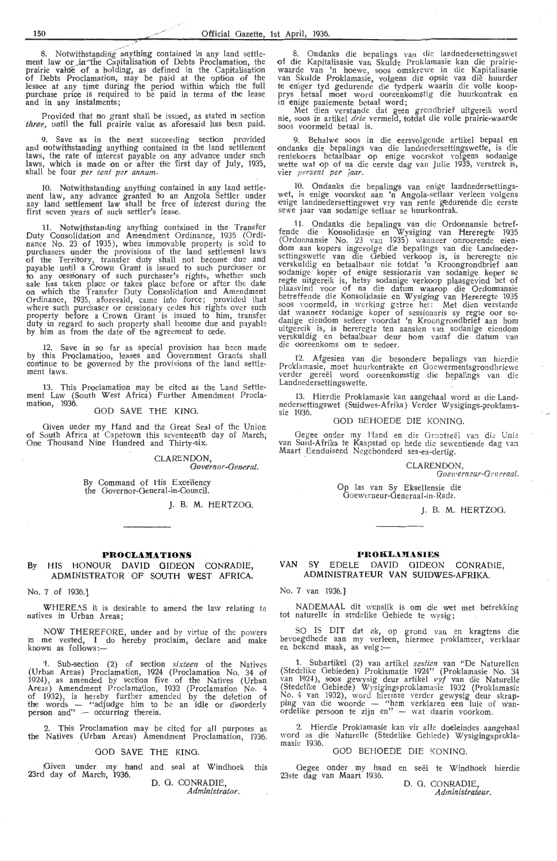8. Notwithstanding anything contained in any land settle-<br>ment law or in the Capitalisation of Debts Proclamation, the prairie value of a holding, as defined in the Capitalisation of Debts Proclamation, may be paid at the option of the lessee at any time during the period within which the full purchase price is required to be paid in terms of the lease and in any instalments;

Provided that no grant shall be issued, as stated in section *three,* until the full prairie value as aforesaid nas been paid.

9. Save as in the next succeeding section provided and notwithstanding anything contained in the land settlement<br>laws, the rate of interest payable on any advance under such laws, which is made on or after the first day of July, 1935, shall be four *per cent per annum*.

10. Notwithstanding anything contained in any land settlement law, any advance granted to an Angola Settler under<br>any land settlement law shall be free of interest during the<br>first seven years of such settler's lease.

11. Notwithstanding anything contained in the Transfer Duty Consolidation and Amendment Ordinance, 1935 (Ordinance No. 23 of 1935 ), when immovable property is sold to purchasers under the provisions of the land settlement laws of the Territory, transfer duty shall not become due and payable until a Crown Grant is issued to such purchaser or to any cessionary of such purchaser's rights, whether such sale has taken place or takes place before or after the date<br>on which the Transfer Duty Consolidation and Amendment Ordinance, 1935, aforesaid, came into force; provided that<br>where such purchaser or cessionary cedes his rights over such<br>property before a Crown Grant is issued to him, transfer duty in regard to such property shall become due and payable by him as from the date of the agreement to cede.

12. Save in so far as special provision has been made by this Proclamation, leases and Government Grants shall<br>continue to be governed by the provisions of the land settle-<br>ment laws.

13. This Proclamation may be cited as the Land Settlement Law (South West Africa) Further Amendment Proclamation, 1936. GOD SAVE THE KING.

Given under my Hand and the Great Seal of the Union of South Africa at Capetown this seventeenth day of March; One Thousand Nine Hundred and Thirty-six.

> CLARENDON, Governor-General.

By Command of His Excellency the Oovernor-Oeneral-in-Council.

J. B. M. HERTZOG,

#### **PROCLAMATIONS**

#### By HIS HONOUR DAVID GIDEON CONRADIE, ADMINISTRATOR OF SOUTH WEST AFRICA.

No. 7 of 1936.]

WHEREAS it is desirable to amend the law relating to natives in Urban Areas;

NOW THEREFORE, under and by virtue of the powers in me vested, I do hereby proclaim, declare and make known as follows:-

1. Sub-section (2) of section *sixteen* of the Natives (Urban Areas) Proclamation, 1924 (Proclamation No. 34 of 1924), as amended by section five of the Natives (Urban Areas) Amendment Proclamation, 1932 (Proclamation No. 4 of 1932), is hereby further amended by the deletion of the words -- "adjudge him to be an idle or disorderly person and" - occurring therein.

2. This Proclamation may be cited for all purposes as the Natives (Urban Areas) Amendment Proclamation, 1936.

#### GOD SAVE THE KING.

Oiven 'Under my hand and seal at Windhoek this 23rd day of March, 1936.

D. 0. CONRADIE, *Administrator.*  8. Ondanks die bepalings van die landnedersettingswet<br>of die Kapitalisasie van Skulde Proklamasie kan die prairiewaarde van 'n hoewe, soos omskrewe in die Kapitalisasie van Skulde Proklamasie, volgens die opsie van die huurder te eniger tyd gedurende die tydperk waarin die volle koopprys betaal moet word ooreenkomstig die huurkontrak en in enige paaiemente betaal word;

Met dien verstande dat geen grondbrief uitgereik word nie, soos in artikel *drie* vermeld, totdat die volle prairie-waarde soos voormeld betaal is.

9. Behalwe soos in die eersvolgende artikel bepaal en ondanks die bepalings van die landnedersettingswette, is die rentekoers betaalbaar op enige voorskot rolgens sodanige wette wat op of na die eerste dag van Julie 1935, verstrek is, vier *persent per jaar*.

10. Ondanks die bepalings van enige landnedersettingswet, is enige voorskot aan 'n Angola-setlaar verleen volgens<br>enige landnedersettingswet vry van rente gedurende die eerste sewe jaar van sodanige setlaar se huurkontrak.

11. Ondanks die bepalings van die Ordonnansie betreffende die Konsolidasie en Wysiging van Hereregte 1935 (Ordonnansie No. 23 van 1935) wanneer onroerende eiendom aan kopers ingevolge die bepalings van die Landnedersettingswette van die Gebied verkoop is, is hereregte nie verskuldig en betaalbaar nie totdat 'n Kroongrondbrief aan<br>sodanige koper of enige sessionaris van sodanige koper se regte uitgereik is, hetsy sodanige verkoop plaasgevind het of plaasvind voor of na die datum waarop die Ordonnansie betreffende die Konsolidasie en Wysiging van Hereregte 1935<br>soos voormeld, in werking getree het: Met dien verstande dat wanneer sodanige koper of sessionaris sy regte oor sodanige eiendom sedeer voordat 'n Kroongrondbrief aan hom uitgereik is, is hereregte ten aansien van sodanige eiendom verskuldig en betaalbaar deur horn vanaf die datum van di•e ooreenkoms om te sedeer.

12. Afgesien van die besondere bepalings van hierdie Proklamasie, moet huurkontrakte en Goewermentsgrondbriewe<br>verder gereël word ooreenkomstig die bepalings van die<br>Landnedersettingswette.

13. Hierdie Proklamasie kan aangehaal word as die Landnedersettingswet (Suidwes-Afrika) Verder Wysigings-proklama sie 1936.

#### GOD BEHOEDE DIE KONING.

Gegee onder my Hand en die Grootseël van die Unie van Suid-Afrika te Kaapstad op hede die sewentiende dag van<br>Maart Eenduisend Negehonderd ses-en-dertig.

CLARENDON,

Goewerneur-Generaal.

Op las van Sy Eksellensie die Goewerneur-Generaal-in-Rade.

J, B. M, HERTZOG.

#### **PROKLAMASIES**

VAN SY EDELE DAVID GIDEON CONRADIE, ADMINISTRATEUR VAN SUIDWES-AFRIKA.

#### No. 7 van 1936.]

NADEMAAL dit wenslik is om die wet met betrekking<br>tot naturelle in stedelike Gebiede te wysig;

SO IS DIT dat ek, op grond van en kragtens die bevoegdhede aan my verleen, hiermee proklameer, verklaar<br>en bekend maak, as volg :-

1. Subartikel (2) van artikel *sestlen* van "De Naturellen (Stedelike Oebieden) Proklarnatie 1924" (Proklamasie No. 34 van 1924), soos gewysig deur artikel *vyf* van die Naturelle (Stedelike Gebiede) Wysigingsproklamasie 1932 (Proklamasie No. 4 van 1932), word hiermee verder gewysig deur skrap-<br>ping van die woorde -- "hem verklaren een luie of wanordelike persoon te zijn en" - wat daarin voorkom.

2. Hierdie Proklamasie kan vir alle doeleindes aangehaal word as die Naturelle (Stedelike Gebiede) Wysigingsproklamasie 1936.

## GOD BEHOEDE DIE KONING.

Oegee onder . my hand en see! te Windhoek hierdie 23ste dag van Maart 1936.

D, 0. CONRADIE, *Administrateur.*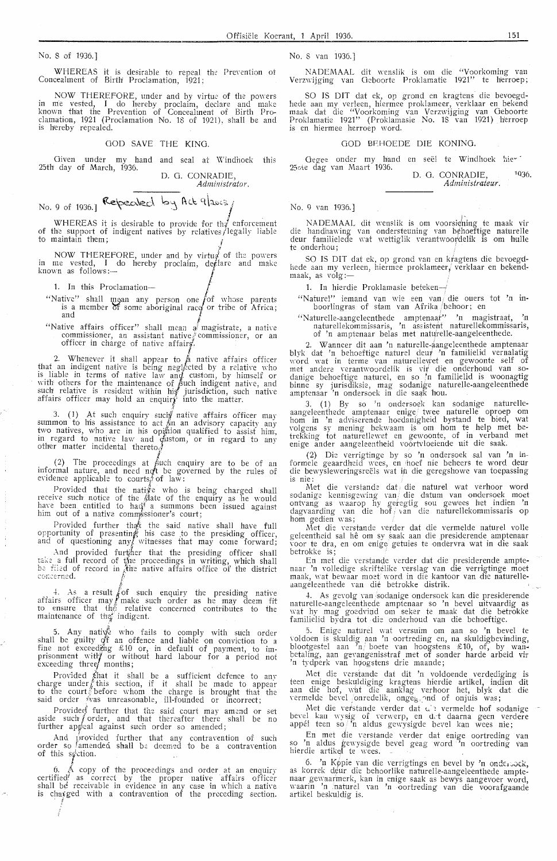No. 8 of 1936.]

WHEREAS it is desirable to repeal the Prevention of Concealment of Birth! Proclamation, 1921;

NOW THEREFORE, under and by virtue of the powers in me vested, I do hereby proclaim, declare and make known th'at the Prevention of Concealment of Birth Proclamation, 1921 (Proclamation No. 18 of 1921), shall be and<br>is hereby repealed.

#### GOD SAVE THE **KING.**

Given under my hand and seal at Windhoek this 25th day of March, 1936. D. G. CONRADIE,

*Administrator.* 

*l* 

# No. 9 of 1936.] Repreaked by Act glaces

WHEREAS it is desirable to provide for the enforcement of the support of indigent natives by relatives/legally liable to maintain them;

NOW THEREFORE, under and by virtue of the powers in me vested, I do hereby proclaim, de*f*tlare and make known as follows:—

1. In this Proclamation-

- "Native" shall mgan any person one fof whose parents is a member of some aboriginal race or tribe of Africa;<br>and
- *I*  "Native affairs officer" shall mean al' magistrate, a nath·e commissioner, an assistant native/commissioner, or an officer in charge of native affairs.

2. Whenever it shall appear to  $\stackrel{\frown}{\phantom{}}$  native affairs officer<br>that an indigent native is being neglected by a relative who<br>is liable in terms of native law and custom, by himself or<br>with others for the maintenance such relative is resident within his jurisdiction, such native affairs officer may hold an enquir $\hat{\mathbf{y}}$  into the matter.

3. (1) At such enquiry such native affairs officer may summon to his assistance to act  $\lim_{n \to \infty}$  an advisory capacity any two natives, who are in his opithion qualified to assist him,<br>in regard to native law and gustom, or in regard to any<br>other matter incidental thereto?<br>(2)

(2) The proceedings at  $\oint$  inch enquiry are to be of an informal nature, and need not be governed by the rules of evidence applicable to courts, for law:

Provided that the native who is being charged shall receive such notice of the  $\#$  ate of the enquiry as he would have been entitled to had<sup>4</sup> a summons been issued against him out of a native commissioner's court;

Provided further that the said native shall have full opportunity of presenting his case to the presiding officer, and of questioning any/ witnesses that may come forward;

And provided further that the presiding officer shall take a full record of the proceedings in writing, which shall be filed of record in the native affairs office of the district concerned.<br>concerned. *<u>i</u>* Ii

 $\frac{1}{\sqrt{2}}$ . As a result  $\frac{1}{6}$  of such enquiry the presiding native affairs officer may make such order as he may deem fit to ensure that the relative concerned contributes to the maintenance of the indigent.

5. Any nativ<sup>3</sup> who fails to comply with such order shall be guilty of an offence and liable on conviction to a fine not exceed ing £10 or, in default of payment, to imprisonment with  $\sigma$  without hard labour for a period not  $\epsilon$ xceeding three $\int$  months;

Provided  $\sharp$  hat it shall be a sufficient defence to any charge under  $\sharp$  this section, if it shall be made to appear to the court before whom the charge is brought that the said order *j*vas unreasonable, ill-founded or incorrect;

Provide $\oint$  further that the said court may amend or set aside such forder, and that thereafter there shall be no further appleal against such order so amended;

And  $\dot{\text{p}}$ rovided further that any contravention of such order so amended shall be deemed to be a contravention of this spection.

 $\hat{\phi}$ .  $\hat{\phi}$  copy of the proceedings and order at an enquiry certified<sup>1</sup> as correct by the proper native affairs officer  $shall$  be receivable in evidence in any case in which a native is chatged with a contravention of the preceding section. No. 8 van 1936.]

NADEMAAL dit wenslik is om die "Voorkoming van Verzwijging van Geboorte Proklamatie 1921" te herroep;

SO IS DIT dat ek, op grond en kragtens die bevoegdhede aan my verleen, hiermee proklameer, verklaar en bekend maak dat die "Voorkoming van Verzwijging van Creboorte Proklamatie 1921" (Proklamasie No. 18 van 1921) hierroep is en hiermee herroep word.

#### GOD BFHOEDE DIE KONING.

Gegee onder my hand en seël te Windhoek 25ste dag van Maart 1936.

D. 0. CONRADIE, *Administrateur.*  1036.

No. 9 van 1936.]

NADEMAAL dit wenslik is om voorsiening te maak vir die handhawing van ondersteuning van b¢hoeftige naturelle<br>deur familielede wat wettiglik verantwoordelik is om hulle te onderhou;

SO IS DIT dat ek, op grond van en kragtens die bevoegdhede aan my verleen, hiermee proklameer/ verklaar en bekendmaak, as volg :-

1. In hierdie Proklamasie beteken-

"Naturel" iemand van wie een van die ouers tot 'n inboorlingras of stam van Afrika behoor; en

"Naturelle-aangeleenthede amptenaat" 'n magistraat, 'n naturellekommissaris, 'n as~istent natureUekommissaris, of 'n amptenaar belas met naturelle-aangeleenthede.

2. Wanneer dit aan 'n naturelle-aangeleenthede amptenaar blyk dat 'n behoeftige naturel deur 'n familielid vernalatig word wat in terme van naturellewet en gewoonte self of met andere verantwoordelik is vir die onderhoud van so-<br>danige behoeftige naturel, en so 'n familielid is woonagtig binne sy jurisdiksie, mag sodanige naturelle-aangeleenthede amptenaar 'n ondersoek in die saak hou.

3. ( 1) By so 'n ondersoek kan sodanige naturelleaangeleenthede amptenaar enige twee naturelle oproep om<br>hom in 'n adviserende hoedanigheid bystand te bied, wat volgens sy mening bekwaam is om horn te help met betrekkina tot naturellewet en gewoonte, of in verband met enige ander aangeleentheid voortvloeiende uit die saak.

(2) Die verrigtinge by so 'n ondersoek sal van 'n informele geaardheid wees, en 'hoef nie beheers te word deur die bewysleweringsreels wat ih die geregshowe van toepassing is nie:

Met die verstande dat die naturel wat verhoor word sodanige kennisgewing van die datum van ondersoek moet ontvang as waarop hy geregtig sou gewees het indien 'n<br>dagvaarding van die hof van die naturellekommissaris op hom gedien was;

Met die verstande verder dat die vermelde naturel volle geleentheid sal he om sy saak aan die presiderende amptenaar voor te dra, en om enige getuies te ondervra wat in die saak betrokke is; betrokke is;  $\frac{1}{2}$ 

En met die verstande verder dat die presiderende ampte- naar 'n volledige skriftelike \'erslag van die verrigtinge moet maak, wat bewaar moet word in die kantoor van die naturelleaangeleenthede van die betrokke distrik.

.J.. As gevolg \·an sodanige ondersoek kan die presiderende naturelle-aangeleenthede amptenaar so 'n bevel uitvaardig as wat hy mag goedvind om seker te maak dat die betrokke familielid bydra tot die onderhoud van die behoeftige.

5. Enige nature! wat versuim om aan so 'n bevel te voldoen is skuldig aan 'n oortreding en, na skuldigbevinding, blootgestel aan 'n/ boete van hoogstens £10, of, by wan-<br>betaling, aan gevangenisstraf met of sonder harde arbeid vir<br>'n tydperk van hoogstens drie maande;

Met die verstande dat dit 'n voldoende verdediging is teen enige beskuldiging kragtens hierdie artikel, indien dit<br>aan die hof, wat die aanklag verhoor het, blyk dat die vermelde bevel onredelik, ongeg nd of onjuis was;

Met die verstande verder dat  $c$ : vermelde hof sodanige bevel kan wysig of verwerp, en det daarna geen verdere appel teen so 'n aldus gewysigde bevel kan wees nie;

En met die verstande verder dat enige oortreding van so 'n aldus gewysigde bevel geag word 'n oortreding van hierdie artikel te wees.

6. 'n Køpie van die verrigtings en bevel by 'n ondersoek, as korrek deur die behoorlike naturelle-aangeleenthede ampte- naar gewaarmerk, kan in enige saak as bewys aangevoer word, waarin 'n .naturel van 'n oortreding van die voorafgaande artikel beskuldig is.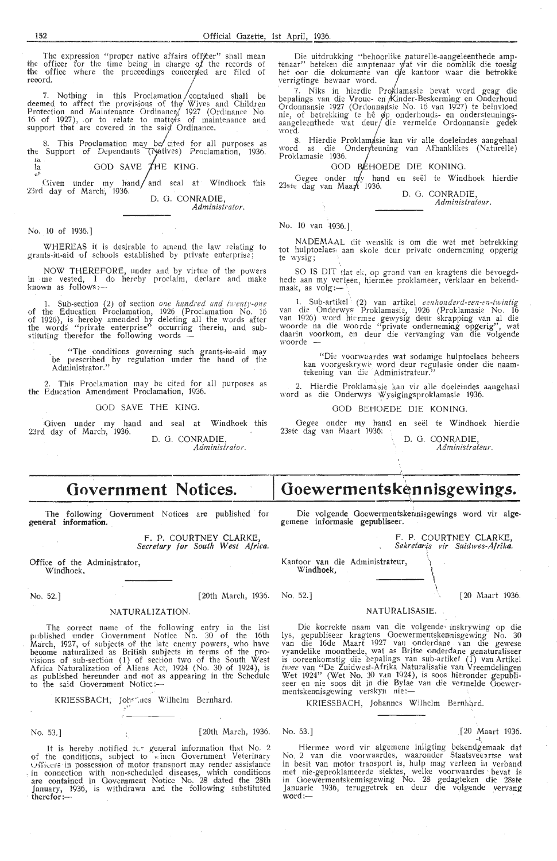The expression "proper native affairs officer" shall mean the officer for the time being in charge of the records of the office where the proceedings concerned are filed of record.

7. Nothing in this Proclamation  $\frac{1}{2}$  contained shall be deemed to affect the provisions of the Wives and Children<br>Protection and Maintenance Ordinance, 1927 (Ordinance No. 16 of 1927), or to relate to matters of maintenance and support that are covered in the sai $\not\!\!\!\!\downarrow$  Ordinance.

8. This Proclamation may be cited for all purposes as the Support of Dependants (Tyatives) Proclamation, 1936.

 $\frac{1}{2}$ la GOD SAVE THE KING.

 $\rm G$ iven under my hand $/$  and seal at Windhoek this 23rd day of March, 1936. D. G. CONRADIE,

Administrator.

No. 10 of 1936.]

WHEREAS it is desirable *to* amend the law relating to grants-in-aid of schools established by private enterprise;

NOW THEREFORE, under and by virtue of the powers in me vested, I do hereby proclaim, declare and make known as follows :-

1. Sub-section (2) of section one hundred and twenty-one of the Education Proclamation, 1926 (Proclamation No. 16 of 1926), is hereby amended by deleting all the words after the words "private enterprise" occurring therein, and substituting therefor the following words

"The conditions governing such grants-in-aid may be prescribed by regulation under the hand of the Administrator."

2. This Proclamation may be cited for all purposes as the Education Amendment Proclamation, 1936.

GOD SAVE THE KING.

Given urider my hand 23rd d ay of March, 1936. and seal at Windhoek this

D. G. CONRADIE, Administrator.

------------------- Die uitdrukking ''behoorlike paturelle-aang,eleenthede amptenaar" beteken die amptenaar yat vir die oomblik die toesig het oor die dokumente van die kantoor waar die betrokke<br>verrigtinge bewaar word. /

7. Niks in hierdie Proklamasie bevat word geag die bepalings van die Vroue- en Kinder-Beskerming en Onderhoud Ordonnansie 1927 (Ordonnaµsie No. 16 van 1927) te be'invloed nie, of betrekking te hê øp onderhouds- en ondersteunings-<br>aangeleenthede wat deur/ die vermelde Ordonnansie gedek<br>word.

8. Hierdie Proklamasie kan vir alle doeleindes aangehaal word as die Ondersteuning van Afhanklikes (Naturelle) Proklamasie 1936. /

GOD BEHOEDE DIE KONING.

Gegee onder my hand en seël te Windhoek hierdie 23ste dag van Maayt 1936. D. G. CONRADIE

Administrafeur .

No. 10 van 1936.]

NADEMAAL dit wenslik is om die wet met betrekking tot hulptoelaes, aan skole deur private onderneming opgerig te wysig; :

SO IS DIT (:lat ek, op grond van en kragtens die bevoegd- hede aan my verleen, hiermee proklameer, verklaar en bekend- maak, as volg :-

1. Sub-artikel (2) van artikel eenhonderd-een-en-twintig van die Onderwys Proklamasie, 1926 (Proklamasie No. 16<br>van 1926) word hiermee gewysig deur skrapping van al die<br>woorde na die woorde "private onderneming opgerig", wat daarin voorkom, en deur die vervanging van die volgende<br>woorde --

"Die voorwaardes wat sodanige hulptoelaes beheers kan voorgeskrywe word deur regulasie onder die naam- tekening van die Administrateur."

2. Hierdie Proklamasie kan vir alle doeleindes aangehaal word as die Onderwys <sup>-</sup>Wysigingsproklamasie 1936.

GOD BEHOF.DE DIE KONING.

Oegee onder my hand en see! te Windhoek hierdie 23ste dag van Maart 1936:

D. G. CONRADIE,<br>*Administrateur*.

# **Government Notices.**

The following Government Notices are published for general information.

F. P. COURTNEY CLARKE, Secretary for South West Africa.

Office of the Administrator, Windhoek,

#### NATURALIZATION.

The correct name of the following entry in the list published under Government Notice No. 30 of the 16th March, 1927, of subjects of the late enemy powers, who have become naturalized as British subjects in terms of the pro-<br>visions of sub-section (1) of section two of the South West Africa Naturalization of Aliens Act, 1924 (No. 30 of 1924), is as published hereunder and not as appearing in the Schedule to the said Oovemment Notice:-

KRIESSBACH, Johs Laes Wilhelm Bernhard.

It is hereby notified  $t\infty$  general information that No. 2 of the conditions, subject to which Government Veterinary Ufficers in possession of motor transport may render assistance in connection with non-scheduled diseases, which conditions are contained in Government Notice No. 28 dated the 28th January, 1936, is withdrawn and the following substituted **therefor:-**

Die volgende Ooewermentskermisgewings word vir algegemene informasie gepubliseer.

Goewermentskennisgewings.

F. P. COURTNEY CLARKE, Sekretaris vir Suidwes-Afrika.

' \  $\int$ 

Kantoor van die Administrateur, **Windhoek,** 

No. 52.] [20th March, 1936. No. 52.] [20 Maart 1936.

#### NATURALISASIE.

Die korrekte naam van die volgende inskrywing op die lys, gepubliseer kragtens Goewermentsken nisgewing No. 30<br>van die 16de Maart 1927 van onderdane van die gewese vyandelike moonthede, wat as Britse onderdane genaturaliseer<br>is ooreenkomstig die hepalings van sub-artikeJ (1) van Artikel twee van "De Zuidwest-Afrika Naturalisatie van Vreemdelingen Wet 1924" (Wet No. 30 van 1924), is soos hieronder gepubliseer en nie soos dit in die Bylae van die vermelde Goewer-<br>mentskennisgewing verskyn nie:—

KRIESSBACH, Johannes Wilhelm Bernhard.

No. 53.] [ 20th March, 1936. No. 53.] [ 20 Maart 1936.

ب<sup>4</sup>.<br>Hiermee word vir algemene inligting bekendgemaak dat No. 2 van die voorwaardes, waaronder Staatsveeartse wat in besit van motor transport is, hulp mag verleen in verband met nie-geproklameerde siektes, welke voorwaardes bevat is in Goewermentskennisgewing No. 28 gedagteken die 28ste Januarie 1936, teruggetrek en deur die volgende vervang<br>word:—

 $\overline{N}$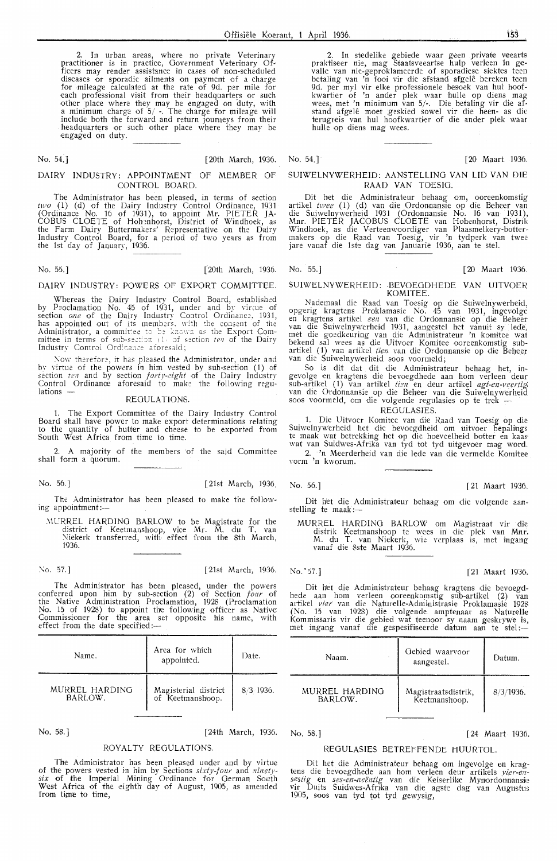In urban areas, where no private Veterinary practitioner is in practice, Government Veterinary Officers may render assistance in cases of non-scheduled diseases or sporadic ailments on payment of a charge for mileage calculated at the rate of 9d. per mile for each professional visit from their headquarters or such other place where they may be engaged on duty, with a minimum charge of 5/ -. The charge for mileage will include both the forward and return journeys from their headquarters or such other place where they may be engaged on duty.

#### No. 54.] [20th March, 1936. No. 54.] [20 Maart 1936.

#### DAIRY INDUSTRY: APPOINTMENT OF MEMBER OF CONTROL BOARD.

The Administrator has been pleased, in terms of section *two* ( 1) ( d) of the Dairy Industry Control Ordinance, 1931 (Ordinance No. 16 of 1931), to appoint Mr. PIETER JA-COBUS CLOETE of Hohenhorst, District of Windhoek, as<br>the Farm Dairy Buttermakers' Representative on the Dairy Industry Control Board, for a period of two yeus as from the 1st day of January, 1936.

No. 55.] [20th March, 1936. No. 55.] [20 Maart 1936.

DAIRY INDUSTRY: POWERS OF EXPORT COMMITTEE.

Whereas the Dairy Industry Control Board, established<br>by Proclamation No. 45 of 1931, under and by virtue of<br>section *one* of the Dairy Industry Control Ordinance, 1931, has appointed out of its members, with the consent of the Administrator, a committee to be known as the Export Committee in terms of sub-section  $(1 + \sigma f)$  section ten of the Dairy Industry Control Ordinance aforesaid;

Now therefore, it has pleased the Administrator, under and by virtue of the powers in him vested by sub-section (1) of section *ten* and by section *forty-eight* of the Dairy Industry Control Ordinance aforesaid to make the following regulations

#### REGULATIONS.

The Export Committee of the Dairy Industry Control Board shall have power to make export determinations relating to the quantity of butter and cheese to be exported from South West Africa from time to time.

2. A majority of the members ·of the said Committee shall form a quorum.

No. 56.] [ 21st March, 1936. No. 56.] [21 Maart 1936.

The Administrator has been pleased to make the following appointment:--

.\i.l'RREL HARDING BARLOW to be Magistrate for the district of Keetmanshoop, vice Mr. M. du T*. v*an<br>Niekerk transferred, with effect from the 8th March, 1936.

No. 57.] [ 21st March, 1936.

The Administrator has been pleased, under the powers conferred upon him by sub-section (2) of Section *four* of the Native Administration Proclamation, 1928 (Proclamation No. 15 of 1928) to appoint the following officer as Native Commissioner for the area set opposite his name, with effect from the date specified:-

| Name.                     | Area for which<br>appointed.             | Date.       |
|---------------------------|------------------------------------------|-------------|
| MURREL HARDING<br>BARLOW. | Magisterial district<br>of Keetmanshoop. | $8/3$ 1936. |

No. 58.]

## [24th March, 1936.

## ROYALTY REGULATIONS.

The Administrator has been pleased under and by virtue of the powers vested in him by Sections *sixty-four* and *ninety-*<br>*six* of the Imperial Mining Ordinance for German South West Africa of the eighth day of August, 1905, as amended from time to time,

2. In stedelike gebiede waar geen private veearts praktiseer nie, mag Staatsveeartse hulp verleen 1n ge-valle van nie-geproklameerde of sporadiese siektes teen betaling van 'n fooi vir die afstand afgde bereken teen 9d. per myl vir elke professionele besoek van hul hoofkwartier of 'n ander plek waar hulle op diens mag wees, met 'n minimum van 5/-. Die betaling vir die afstand afgelê moet :geskied sowel vir die heen- as die<br>terugreis van hul hoofkwartier of die ander plek waar<br>hulle op diens mag wees.

## SUIWELNYWERHEID: AANSTELLING VAN LID VAN DIE RAAD VAN TOESIG.

Dit het die Administrateur behaag om, ooreenkomstig artikel *twee* (1) (d) van die Ordonnansie op die Beheer van<br>die Suiwelnywerheid 1931 (Ordonnansie No. 16 van 1931), Mnr. PIETER JACOBUS CLOETE van Hohenhorst, Disfrik Windhoek, as die Verteenwoordiger van Plaasmelkery-bottermakers op die Raad van Toesig, vir 'n tydperk van twee jare vanaf die 1ste dag van Januarie 1936, aan te stel.

SUIWELNYWERHEID: -BEVOEODHEDE VAN UITVOER KOMITEE.

Nademaal die Raad van Toesig op die Suiwelnywerheid, opgerig kragtens Proklamasie No. 45 van 1931, ingevolge<br>en kragtens artikel *een* van die Ordonnansie op die Beheer<br>van die Suiwelnywerheid 1931, aangestel het vanuit sy lede, met die goedkeuring van die Administrateur 'n komitee wat bekend sal wees as die Uitvoer Komitee ooreenkomstig subartikel (1) van artikel *tien* van die Ordonnansie op die Beheer van die Suiwelnywerheid soos voormeld;

So is dit dat dit die Administrateur behaag het, ingevolge en kragtens die bevoegdhede aan horn verleen deur sub-artikel (1) van artikel *tien* en deur artikel *agt-en-veertig*:<br>van die Ordonnansie op die Beheer van die Suiwelnywerheid van die Ordonnansie op die Beheer van die Suiwelnywerheid<br>soos voormeld, om die volgende regulasies op te trek ---

#### REOULASIES.

1. Die Uitvoer Komitee van die Raad van Toesig op die Suiwelnywerheid het die bevoegdheid om uitvoer bepalings te maak wat betrekking het op die hoeveelheid botter en kaas wat van Suidwes-Afrika van tyd tot tyd uitgevoer mag word.

2. 'n Meerderheid van die lede van die vermelde Komitee vorm 'n kworum.

Dit het die Administrateur behaag om die volgende aan-<br>stelling te maak :-

MURREL HARDING BARLOW om Magistraat vir die distrik Keetmanshoop te wees in die plek van Mnr. M. du T. van Niekerk, wie verplaas is, met ingang vanaf die Sste Maart 1936.

### No. '57.] [21 Maart 1936.

Dit hiet die Administrateur behaag kragtens die bevoegdhede aan hom verleen ooreenkomstig sub-artikel (2) van<br>artikel *vier* van die Naturelle-Administrasie Proklamasie 1928 (No. 15 van 1928) die volgende amptenaar as Naturelle Kommissaris vir die gebied wat teenoor sy naam geskrywe is,<br>met ingang vanaf die gespesifiseerde datum aan te stel:—

| Naam.                     | Gebied waarvoor<br>aangestel.        | Datum.       |
|---------------------------|--------------------------------------|--------------|
| MURREL HARDING<br>BARLOW. | Magistraatsdistrik,<br>Keetmanshoop. | $8/3/1936$ . |

### No. 58.]

[24 Maart 1936.

#### REGULASIES BETREFFENDE HUURTOL.

Dit het die Administrateur behaag om ingevolge en kragtens die bevoegdhede aan hom verleen deur artikels vier-ensestig en ses-en-neëntig van die Keiserlike Mynordonnansie vir Duits Suidw,es-Afrika van die agste dag van Augustus 1905, soos van tyd tot tyd gewysig,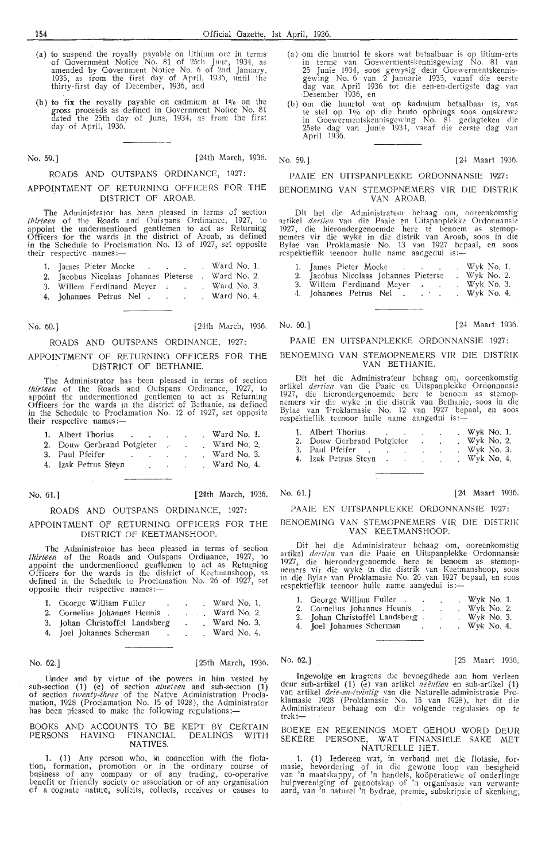- (a) to suspend the royalty payable on lithium ore in terms of Government Notice No. 81 of 25th June, 1934, as amended by Government Notice No. 6 of 2nd January, 1935, as from the first day of April, 1936, until the thirty-first day of December, 1936, and
- (b) to fix the royalty payable on cadmium at  $1\%$  on the gross proceeds as defined in Government Notice No. 81 dated the 25th clay of June, 1934, as from the first day of April, 1936.

## ROADS AND OUTSPANS ORDINANCE, 1927:

### APPOINTMENT OF RETURNING OFFICERS FOR THE DISTRICT OF AROAB.

The Administrator has been pleased in terms of section thirteen of the Roads and Outspans Ordinance, 1927, to appoint the undermentioned gentlemen to act as Returning Officers for the wards in the district of Aroab, as defined in the Schedule to Proclamation No. 13 of 1927, set opposite their respective names:-

| 1. James Pieter Mocke                 |  |  |  | Ward No. 1. |  |
|---------------------------------------|--|--|--|-------------|--|
| 2. Jacobus Nicolaas Johannes Pieterse |  |  |  | Ward No. 2. |  |

- 3. WiHem Ferdinand Meyer Ward No. 3.
- 4. Johannes Petrus Ne! . Ward No. 4.

#### ROADS AND OUTSPANS ORDINANCE, 1927:

#### APPOINTMENT OF RETURNING OFFICERS FOR THE DISTRICT OF BETHANIE.

The Administrator has been pleased in terms of section thirteen of the Roads and Outspans Ordinance, 1927, to appoint the undermentioned gentlemen to act as Returning Officers for the wards in the district of Bethanie, as defined in the Schedule to Proclamation No. 12 of 1927, set opposite their respective names:-

| 1. Albert Thorius                                                  |               | Ward No. 1.   |
|--------------------------------------------------------------------|---------------|---------------|
| 2. Douw Gerbrand Potgieter                                         |               | Ward No. 2.   |
| 3. Paul Pfeifer<br>the contract of the contract of the contract of | $\sim$ $\sim$ | . Ward No. 3. |
| 4. Izak Petrus Stevn                                               |               | . Ward No. 4. |

No. 61.J [24th March, 1936. No. 61.J [24 Maart 1936.

### ROADS AND OUTSPANS ORDINANCE, 1927:

#### APPOINTMENT OF RETURNING OFFICERS FOR THE DISTRICT OF KEETMANSHOOP.

The Administrator has been pleased in terms of section thirteen of the Roads and Outspans Ordinance, 1927, to appoint the undermentioned gentlemen to act as Returning<br>Officers for the wards in the district of Keetmanshoop, as<br>defined in the Schedule to Proclamation No. 26 of 1927, set opposite their respective names:-

| 1. George William Fuller       |  | Ward No. 1. |
|--------------------------------|--|-------------|
| 2. Cornelius Johannes Heunis.  |  | Ward No. 2. |
| 3. Johan Christoffel Landsberg |  | Ward No. 3. |
| 4. Joel Johannes Scherman      |  | Ward No. 4. |

## No. 62.] **Example 2.1 Example 2.5** March, 1936. No. 62.] **No. 62.** [25 Maart 1936.

Under and by virtue of the powers in him vested by sub-section (1) (e) of section *nineteen* and sub-section (1) of section twenty-three of the Native Administration Proclamation, 1928 (Proclamation No. 15 of 1928), the Administrator has been pleased to make the following regulations:

BOOKS AND ACCOUNTS TO BE KEPT BY CERTAIN PERSONS HAVING FINANCIAL DEALINGS WITH NATIVES.

1. (1) Any person who, in connection with the flotation, formation, promotion or in the ordinary course of business of any company or of any trading, co-operative benefit or friendly society or association or of any organisation of a cognate nature, solicits, collects, receives or causes to

- (a) om die huurtol te skors wat betaalbaar is op litium-erts in terme van Ooewermentskennisgewing No. 81 van 25 Junie 1934, soos gewysig deur Goewermentskennisgewing No. 6 van 2 Januarie 1935, vanaf die eerste dag van April 1936 tot die een-en-dertigste dag van Des-ember ·1936, en
- (b) om die huurtol wat op kadmium betaalbaar is, vas te stel op 1% op die bruto opbrings soos omskrewe in Ooewermentskennisgewing No. 81 gedagteken die 25ste dag van Junie 1934, vanaf die eerste dag van<br>April 1936.

No. 59.] [24th March, 1936. No. 59.] [24 Maart 1936.

#### PAAIE EN UITSPANPLEKKE ORDONNANSIE 1927:

#### BENOEMING VAN STEMOPNEMERS VIR DIE DISTR!K VAN AROAB.

Dit het die Administrateur behaag om, ooreenkomstig artikel *dertien* van die Paaie en Uitspanplekke Ordonnansie 1927, die hierondergenoemde here te benoem as stemop-<br>nemers vir die wyke in die distrik van Aroab, soos in die Bylae van Proklamasie No. 13 van 1927 bepaai, en soos respektidlik teenoor hulle name aangedui is:-

| 1. James Pieter Mocke                 |                                                                                                                                                                                                                                   | . Wyk No. 1. |
|---------------------------------------|-----------------------------------------------------------------------------------------------------------------------------------------------------------------------------------------------------------------------------------|--------------|
| 2. Jacobus Nicolaas Johannes Pieterse |                                                                                                                                                                                                                                   | . Wyk No. 2. |
| 3. Willem Ferdinand Meyer             | and the company                                                                                                                                                                                                                   | $Wyk$ No. 3. |
| 4. Iohannes Petrus Nel .              | $\mathbf{r}$ . The set of the set of the set of the set of the set of the set of the set of the set of the set of the set of the set of the set of the set of the set of the set of the set of the set of the set of the set of t | . Wyk No. 4. |

## No. 60.] [24th March, 1936. No. 60.] [24 Maart 1936.

#### PAAIE EN UITSPANPLEKKE ORDONNANSIE 1927:

#### BENOEMING VAN STEMOPNEMERS VIR DIE DJSTRIK **VAN BETHANIE.**

Dit het die Administrateur behaag om, ooreenkomstig artikel *dertien* van die Paaie en Uitspanplekke Ordonnansie 1927, die hierondergenoemde here te benoem as stemop-<br>nemers vir die wyke in die distrik van Bethanie, soos in die Bylae van 'Proklamasie No. 12 van 1927 bepaal, en soos respektieflik teenoor hulle name aangedui is:-

| 1. Albert Thorius          |                          |                          |  | . Wyk No. 1. |  |
|----------------------------|--------------------------|--------------------------|--|--------------|--|
| 2. Douw Gerbrand Potgieter |                          |                          |  | . Wyk No. 2. |  |
| 3. Paul Pfeifer.<br>$\sim$ | <b>Contract Contract</b> | <b>Contract Contract</b> |  | $Wyk$ No. 3. |  |
| 4. Izak Petrus Steyn       |                          |                          |  | $Wyk$ No. 4. |  |

#### PAAIE EN UITSPANPLEKKE ORDONNANSIE 1927:

#### BENOEMING VAN STEMOPNEMERS VIR DIE DISTRIK VAN KEETMANSHOOP.

Dit het die Administrateur behaag om, ooreenkomstig artikel *dertien* van die Paaie en Uitspanplekke Ordonnansie 1927, die hierondergenoemde here te benoem as stemop-<br>nemers vir die wyke in die distrik van Keetmanshoop, soos in die Bylae van Proklamasie No. 26 van 1927 bepaal, en soos respektieflik teenoor hulle name aangedui is:-

| 1. George William Fuller.       |  | $Wyk$ No. 1. |
|---------------------------------|--|--------------|
| 2. Cornelius Johannes Heunis    |  | $Wyk$ No. 2. |
| 3. Johan Christoffel Landsberg. |  | Wyk No. 3.   |
| 4. Joel Johannes Scherman       |  | . Wyk No. 4. |

Ingevolge en kragtens die bevoegdhede aan hom verleen deur sub-artikel (1) (e) van artikel *neëntien* en sub-artikel (1) van artikel drie-en-twintig van die Naturelle-administrasie Proklamasie 1928 (Proklamasie No. 15 van 1928), het dit die Administrateur behaag om die volgende regulasies op te<br>trek:—

BOEKE EN REKEN!NGS MOET GEHOU WORD DEUR SEKERE PERSONE, WAT FINANSIËLE SAKE MET NATURELLE HET.

1. (1) Iedereen wat, in verband met die flotasie, for-<br>masie, bevordering of in die gewone loop van besigheid van 'n maatskappy, of 'n handels, koöperatiewe of onderlinge hulpvereniging of genootskap of 'n organisasie van verwante aard, van 'n naturel 'n bydrae, premie, subskripsie of skenking,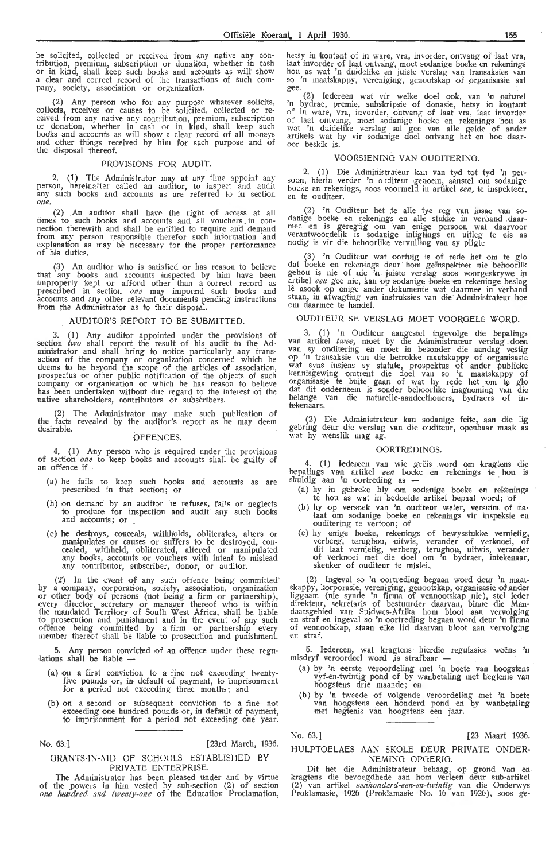be solicited, collected or received from any native any con-<br>tribution, premium, subscription or donation, whether in cash<br>or in kind, shall keep such books and accounts as will show<br>a clear and correct record of the trans

(2) Any person who for any purpose whatever solicits, collects, receives or causes to be solicited, collected or received from any native any contribution, premium, subscription or donation, whether in cash or in kind, shall keep such books and accounts as will show a clear record of all moneys and other things received by him for such purpose and of the disposal thereof.

#### PROVISIONS FOR AUDIT.

2. (1) The Administrator may at any time appoint any person, hereinafter called an auditor, to inspect and audit any such books and accounts as are referred to in section *one*.

(2) An auditor shall have the right of access at all times to such books and accounts and all vouchers in contimes to such books and accounts and all vouchers in con-<br>nection therewith and shall be entitled to require and demand foom any person responsible therefor such information · and explanation as may be necessary for the proper performance<br>of his duties.

(3) An auditor who is satisfied or has reason to believe that any books and accounts inspected by him have been that any books and accounts inspected by him have been<br>improperly kept or afford other than a correct record as<br>prescribed in section *one* may impound such books and accounts and any other rdevant documents pending instructions from the Administrator as to their disposal.

#### AUDITOR'S REPORT TO BE SUBMITTED.

3. (1) Any auditor appointed under the provisions of section *two* shall report the result of his audit to the Administrator and shall bring to notioe particularly any trans- action of the oompany or organization concerned which he deems to be beyond the scope of the articles of association, prospectus or other public notification of the objects of such company or organization or which he has reason to believe has been undertaken without due regard to the interest of the<br>native shareholders, contributors or subscribers.

(2) The Administrator may make such publication of the facts revealed by the auditor's report as he may deem desirable.

#### OFFENCES.

4. (1) Any person who is required under the provisions of section *one* to keep books and accounts shall be guilty of an offence if -

- (a) he fails to keep such books and accounts as are prescribed in that section; or
- (b) on demand by an auditor he refuses, fails or neglects to produce for inspection and audit any such books and accounts; or \_
- (c) he destroys, conoeals, withholds, obliterates, alters or manipulates or causes or suffers to be destroyed, conany books, accounts or vouchers with intent to mislead any contributor, subscriber, donor, or auditor.

 $(2)$  In the event of any such offence being committed by a company, corporation, society, association, organization<br>or other body of persons (not being a firm or partnership), every director, secretary or manager thereof who is within the mandated Territory of South West Africa, shall be liable<br>to prosecution and punishment and in the event of any such offence being committed by a firm or partnership every member thereof shall be liable to prosecution and punishment.

5. Any person convicted of an offence under these regulations shall be liable  $-$ 

- (a) on a first conviction to a fine not exceeding twentyfive pounds or, in default of payment, to imprisonment for a period not exceeding three months; and
- (b) on a second or subsequent conviction to a fine not exceeding one hundred pounds or, in default of payment, to imprisonment for a period not exceeding one year.

No, 63.] [23rd March, 1936.

#### GRANTS-IN-AID OF SCHOOLS ESTABLISHED BY PRIVATE ENTERPRISE.

The Administrator has been pleased under and by virtue of the powers in him vested by sub-section  $(2)$  of section *o,ne ha,ndred and twenty-one* of the Education Proclamation,

hetsy in kontant of in ware, vra, invorder, ontvang of laat vra, Iaat invorder of laat ontvang, moet sodanige boeke en rekenings<br>hou as wat 'n duidelike en juiste verslag van transaksies van so 'n maatskappy, vereniging, genootskap of organisasie sal gee. gee.

(2) Iedereen wat vir welke doel ook, van 'n naturel 'n bydrae, premie, subskripsie of donasie, hetsy in kontant of in ware, vra, invorder, ontvang of laat vra, laat invorder of laat ontvang, moet sodanige boeke en rekenings hou as<br>wat 'n duidelike verslag sal gee van alle gelde of ander artikels wat hy vir sodanige doel ontvang het en hoe daar-<br>oor beskik is.

#### VOORSIENINO VAN OUDITERINO.

2. (1) Die Administrateur kan van tyd tot tyd 'n persoon, hierin verder 'n ouditeur genoem, aanstel om sodanige boeke en rekenings, soos voormeld in artikel *een,* te inspekteer,<br>en te ouditeer.

(2) 'n Ouditeur het ,t.e alle tye reg van insae van so-<br>danige boeke en rekenings en alle stukke in verband daar-<br>mee en is geregtig om van enige persoon wat daarvoor verantwoordelik is sodanige inligtings en uitleg te eis as<br>nodig is vir die behoorlike vervulling van sy pligte.

(3) 'n Ouditeur wat oortuig is of rede het om *te* glo dat boeke en rekenings deur hom geïnspekteer nie behoorlik gehou is nie of nie 'n juiste verslag soos voorgeskrywe in artikel *een* gee nie, kan op sodanige boeke en rekeninge beslag<br>lê asook op enige ander dokumente wat daarmee in verband staan, in afwagting van instruksies van die Administrateur hoe<br>om daarmee te handel.

#### OUDITEUR SE VERSLAG MOET VOORGELÉ WORD.

3. (1) 'n Ouditeur aangestel ingevolge die bepalings<br>van artikel *twee*, moet by die Administrateur verslag doen<br>van sy ouditering en moet in besonder die aandag vestig op 'n transaksie van die betrokke maatskappy of organisasie wat syns insiens sy statute, prospektus of ander publieke kennisgewing omtrent die doel van so 'n maatskappy of organisasie te buite gaan of wat hy rede het om te glo dat dit onderneem is sonder behoorlike inagneming van die<br>belange van die naturelle-aandeelhouers, bydraers of intekenaars.

(2) Die Administrateur kan sodanige feite, aan die lig gebring deur die verslag van die ouditeur, openbaar maak as<br>wat hy wenslik mag ag.

#### OORTREDINOS.

4. (1) Iedereen van wie geeis .word om kragtens die bepalings van artikel *,eerz* boek,e en rekeni.ngs te hou is skuldig aan 'n oortreding as -

- (a) hy in gebreke bly om sodanige boeke en rekenings te hou as wat in bedoelde artikel bepaal word; of
- (b) hy op versoek van 'n ouditeur weier, versuim of na- laat om sodanige boeke en rekenings vir inspeksie en ouditering te vertoon; of
- (c) hy enige boeke, rekenings of bewysstukke vernietig, verberg, terughou, uitwis, verander of verknoei, of dit laat vernietig, verberg, terughou, uitwis, verander of verknoei met die doel om 'n bydraer, intekenaar, skenker of ouditeur te mislei.

(2) Ingeval so 'n oortreding begaan word deur 'n maatskappy, korporasie, vereniging, genootskap, organisasie of ander liggaam (nie syn de 'n firma of vennootskap \_nie ), stel ieder direkteur, sekretaris of bestuurder daarvan, binne die Mandaatsgebied van Suidwes-Afrika hom bloot aan vervolging en straf en ingeval so 'n oortreding begaan word deur 'n firma of vennootskap, staan elke lid daarvan bloot aan vervolging<br>en straf.

5. Iedereen, wat kragtens hierdie regulasies weëns 'n misdryf veroordeel word ,is strafbaar -

- (a) by 'n eerste veroordeling met 'n boete van hoogstens vyf-en-twjntig pond of by wanbetaling met hegtenis van hoogstens drie maande; en
- (b) by 'n tweede of volgende veroordeling met 'n boete van hoogstens een honderd pond en by wanbetaling met hegtenis van hoogstens een jaar.

#### No. 63.1 [23 Maart 1936.]

### HULPTOELAES AAN SKOLE DEUR PRIVATE ONDER-NEMINO OPOERIO.

Dit het die Administrateur behaag, op grond van en kragtens die bevoegdhede aan horn verleen deur sub-artikel (2) van artikel *eenhonderd-een-en-twintig* van die Onderwys Proklamasie, 1926 (Proklamasie No. 16 van 1926), soos ge-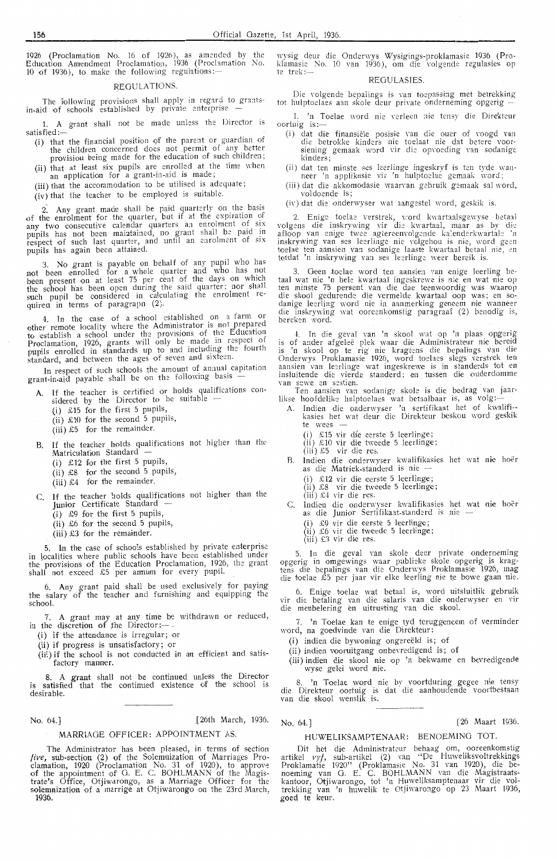1926 (Proclamation No. 16 of 1926 ), as amended by the Education Amendment Proclamation, 1936 (Proclamation No.<br>10 of 1936), to make the following regulations:—

#### REGULATIONS.

The following provisions shall apply in regard to grantsin-aid of schools established by private enterprise -

A grant shall not be made unless the Director is satisfied:-

- (i) that the financial position of the parent or guardian of the children concerned does not .permit of any better provision being made for the education of such children; (ii) that at least six pupils are enrolled at the time when
- an application for a grant-in-aid is made;
- (iii) that the accommodation to be utilised is adequate:
- $(iv)$  that the teacher to be employed is suitable.

2. Any grant made shall be paid quarterly on the basis of the enrolment for the quarter, but if at the expiration of any two consecutive calendar quarters an enrolment of six pupils has not been maintained, no grant shall be paid in<br>respect of such last quarter, and until an enrolment of six pupils has again been attained.

3. No grant is payable on behalf of any pupil who has not been enrolled for a whole quarter and who has not been present on at least 75 per cent of the days on which the school h'as been open during the said quarter; nor shall such pupil be considered in calculating the enrolment requirea in terms of paragrapn (2).

4. In the case of a school established on a farm or other remote locality where the Administrator is not prepared to establish a school under the provisions of the Education Proclamation, 1926, grants will only be made in respect of pupils enrolled in standards up to and including the fourth standard, and between the ages of seven and sixteen.

In respect of such schools the amount of annual capitation grant-in-aid payable shall be on the fol10wmg basis -

- A. If the teacher is certified or holds qualifications considered by the Director to be suitable  $-$ 
	- (i) £15 for the first 5 pupils,
	- $(ii)$  £10 for the second 5 pupils
	- $(iii)$  £5 for the remainder.
- B. If the teacher holds qualifications not higher than the Matriculation Standard -
	- (i) £12 for the first 5 pupils
	- (ii) £8 for the seoond 5 pupils,
	- (iii)  $\pounds 4$  for the remainder.
- C. If the teacher holds qualifications not higher than the **Junior** Certificate Standard -
	- (i)  $£9$  for the first 5 pupils
	- (ii) £6 for the second 5 pupils,
	- $(iii)$  £3 for the remainder.

5. In the case of schools established by private enterprise in localities where public schools have been established under the provisions of the Education Proclamation, 1926, the grant shall not exceed  $£5$  per annum for every pupil.

6. Any grant paid shall be used exclusively for paying the salary of the teacher and furnishing and equipping the school.

7. A grant may at any time be withdrawn or reduced, in the discretion of the Director: $-$ .

- $(i)$  if the attendance is irregular; or
- (ii) if progress is unsatisfactory; or
- (iii) if the school is not conducted in an efficient and satisfactory maniner.

8. A ,grant shall not be oontinued unless the Director is satisfied that the continued existence of the school is desirable

No. 64.] [26th March, 1936.

#### MARRIAGE OFFICER: APPOINTMENT AS

The Administrator has been pleased, in terms of section  $five$ , sub-section (2) of the Solemnization of Marriages Proclamation, 1920 (Proclamation No. 31 of 1920), to approve of the appointment of G. E. C. BOHLMANN of the Magistrate's Office, Otjiwarongo, as a Marriage Officer for the solemnization of a marrige at Otjiwarongo on the 23rd March, 1936.

wysig deur die Onderwys Wysigings-proklamasie 1936 (Proklamasie No. 10 van 1936), om die volgende regulasies op te trek:-

#### REOULASJES.

Die volgende bepalings is van toepassing met betrekking tot hulptoelaes aan skole deur private onderneming opgerig ---

1. 'n Toelae word nie verleen nie tensy die Direkteur oortuig is:-

- (i) dat die finansiële posisie van die ouer of voogd van die betrokke kinders nie toelaat nie dat betere voorsiening gemaak word vir die opvoeding van sodanige kinders;
- (ii) dat ten minste ses leerlinge ingeskryf is ten tyde wanneer 'n applikasie vir 'n hulptoelae gemaak word;
- $(iii)$  dat die akkomodasie waarvan gebruik gemaak sal word, voldoende is;
- (i\') dat die onderwys-er wat aangestel \\'Ord, geskik is.

2. Enige toelae verstrek, word kwartaalsgewyse betaal volgens die inskrywing vir die kwartaal, maar as by die afloop van enige twee agtereenvolgende ka'enderkwartale 'n inskrywing van ses leerlinge nie volgehou is nie, word geen toelae ten aansien van sodanige laaste kwartaal betaal nie, en<br>totdat 'n inskrywing van ses leerlinge weer bereik is.

3. Geen toelae word ten aansien van enige leerling betaal wat nie 'n hele kwartaal ingeskrewe is nie en wat nie op ten minste 75 persent van die dae teenwoordig was waarop die skool gedurende die vermelde kwartaal oop was; en so-<br>danige leerling word nie in aanmerking geneem nie wanneer dange teering word me in dannerling geneem me wanteer<br>die inskrywing wat ooreenkomstig paragraaf (2) benodig is, bereken word.

4. In die geval van 'n skool wat op 'n plaas opgerig is of ander afgeleë plek waar die Administrateur nie bereid is 'n skool op te rig nie kragtens die bepalings van die Onderwys Proklamasie 1926, word toelaes slegs verstrek ten aansien van leerlinge wat ingeskrewe is in standerds tot en insluitende die vierde standercl; en tussen die ouclerdomme van sewe en sestien.

Ten aansien van sodanige skole is die bedrag van jaarlikse hoofdelike huiptoelaes wat befaalbaar is, as volg :-

- A. Indien die onderwyser 'n sertifikaat het of kwalifi- kasies het wat deur die Direkteur beskou word geskik te wees -
	- (i) £15 vir di'e eerste 5 leerlinge;
	- $(ii)$  £10 vir die tweede 5 leerlinge;
	- $(iii)$  £5 vir die res.
- B. Indien die onderwyser kwalifikasies het wat nie hoër as die Matriek-standerd is nie -
	- (i)  $£12$  vir die eerste 5 leerlinge;
	- (ii) £8 vir die tweede 5 leerlinge;
	- (iii) £4 vir die res.
- C. Indien die onderwyser kwalifikasies het wat nie hoër as die Junior Sertifikaat-standerd is nie
	- (i)  $\text{\pounds}9$  vir die eerste 5 leerlinge
	- (ii) £6 vir die tweedc 5 leerlinge;
	- $(iii)$  £3 vir die res.

5. In die geval van skole deur private onderneming opgerig in omgewings waar publieke skole opgerig is kragtens die bepalings van die Onderwys Proklamasie 1926, mag die toelae £5 per jaar vir elke leerling nie te bowe gaan nie.

6, Enige toelae wat betaal is, word uitsluitlik gebruik vir die betaling van die salaris van die onderwyser en vir die meubelering en uitrusting van die skool.

7. 'n Toelae kan te enige tyd teruggeneem of verminder word, na goedvinde van die Direkteur:

- (i) indien die bywoning ongereëld is; of
- (ii) indien vooruitgang onbevredigend is; of
- (iii) indien die skool nie op 'n bekwame en bevredigende wyse gelei word nie

8. 'n Toelae word nie by voortduring gegee nie tensy die Direkteur oortuig is dat die aanhoudende voortbestaan van die skool wenslik is.

No. 64.] [26 Maart 1936.

## HUWELIKSAMPTENAAR: BENOEMING TOT.

Dit het die Administrateur behaag om, ooreenkomstig artikel  $vyf$ , sub-artikel (2) van "De Huweliksvoltrekkings Proklamatie 1920" (Proklamasie No. 31 van 1920), die benoeming van G. E. C. BOHLMANN van die Magistraatskantoor, Otjiwarongo, tot 'n Huweliksamptenaar vir die vol trekking van 'n huwelik te Otjiwarongo op 23 Maart 1936, goed te keur.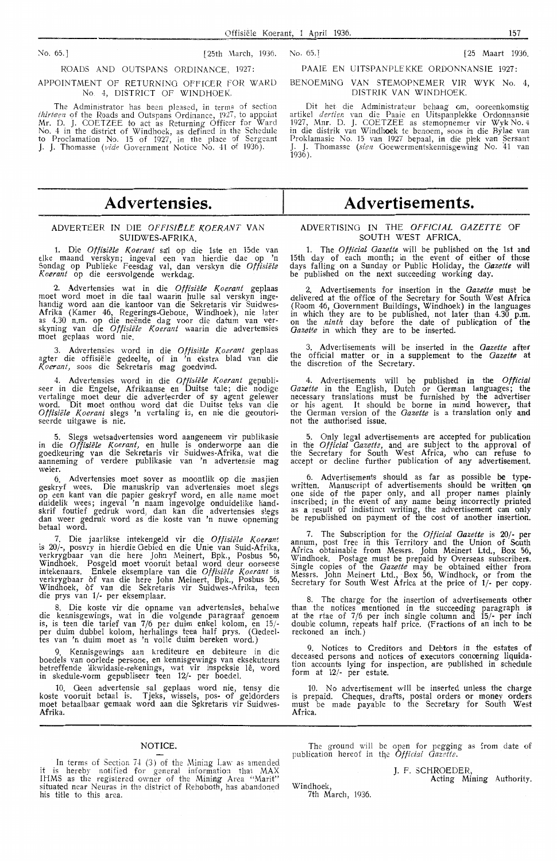No. 65.] [25th March, 1936. No. 65. ] [25 Maart 1936.

ROADS AND OUTSPANS ORDINANCE, 1927:

APPOINTMENT OF RETURNING OFFICER FOR WARD No. 4, DISTRICT OF WINDHOEK.

The Administrator has been pleased, in terms of section *thirteen* of the Roads and Outspans Ordinance, 1927, to appoint **Mr.** 0. J. COETZEE to act as Returning Officer for Ward No. 4 in the district of Windhoek, as defined in the Schedule<br>to Proclamation No. 15 of 1927, in the place of Sergeant **J. J.** Thomasse *( vide* Government Notice No . 41 of 1936 ).

## **Advertensies.**

#### ADVERTEER IN DIE OFFISIELE KOERANT VAN SUIDWES-AFRIKA.

1. Die *Offisiële Koerant* sal op die 1ste en 15de van<br>elke maand verskyn; ingeval een van hierdie dae op 'n Sondag op Publieke Feesdag val, dan verskyn die Offisiële *Koerant* op die eersvolgende werkdag.

2. Advertensies wat in die *Offisiële Koerant* geplaas moet word moet in die taal waarin hulle sal verskyn ingehandig word aan die kantoor van die Sekretaris vir Suidwes-<br>Afrika (Kamer 46, Regerings-Geboue, Windhoek), nie later<br>as 4.30 n.m. op die neënde dag voor die datum van ver-<br>skyning van die *Offisiële Koerant* waarin die adv moet geplaas word nie.

3. Advertensies word in die Offisiële Koerant geplaas agter die offisiele gedeelte, of in 'n ekstra blad van die Koerant, soos die Sekretaris mag goedvind.

4. Advertensies word in die *Offisiële Koerant* gepubliseer in die Engelse, Afrikaanse en Duitse tale; die nodige vertalinge moet deur die adverteerder of sy agent gelewer word. Dit moet onthou word dat die Duitse teks van die *Offisiiile K.oerant* slegs 'n vertaling is, en nie die geoutoriseerde uitgawe is nie.

wetsadvertensies word aangeneem vir publikasie in die *Offisiële Koerant*, en hulle is onderworpe aan die goedkeuring van die Sekretaris vir Suidwes-Afrika, wat die aanneming of verdere publikasie van 'n advertensie mag weier.

6. Advertensies moet sover as moontlik op die masjien geskryf wees. Die manuskrip van advertensies moet siegs op een kant van die papier geskryf word, en alle name moet duidelik wees; ingeval 'n naam ingevolge onduidelike handskrif foutief gedruk word, dan kan die advertensies slegs<br>dan weer gedruk word as die koste van 'n nuwe opneming betaal word.

7. Die jaarlikse intekengeld vir die Offisiële Koerant is 20/-, posvry in hierdie Oebied en die Unie van Suid-Afrika, verkrygbaar van die here John Meinert, Bpk., Posbus 56, Windhoek. Posgeld moet vooruit betaal word deur 0orseese intekenaars. Enkele eksemplare van die *Offisiële Koerant* is<br>verkrygbaar òf van die here John Meinert, Bpk., Posbus 56, Windhoek, of van die Sekretaris vir Suidwes-Afrika, teen die prys van 1/- per eksemplaar.

8. Die koste vir die opname van advertensies, behalwe die kennisgewings, wat in die volgende paragraaf genoem is, is teen die tarief van 7/6 per duim enkel kolom, en 15/- per duim dubbel kolom, herhalings teen half prys. (Gedeeltes van 'n duim moet as 'n volle duim bereken word.)

9. Kennisgewings aan krediteure en debiteure in die boedels van oorlede persone, en kennisgewings van eksekuteurs<br>betreffende likwidasie-rekenings, wat vir inspeksie lê, word in skedule-vorm gepubliseer teen 12/- per boedel.

10. Geen advertensie sal geplaas word nie, tensy die koste vooruit betaal is. Tjeks, wissels, pos- of geldorders moet betaalbaar gemaak word aan die Sekretaris vir Suidwes-Afrika.

#### **NOTICE.**

In terms of Section  $74$  (3) of the Mining Law as amended it is hereby notified for general information that MAX IHMS as the registered owner of the Mining Area "Marit" situated near Neuras in the district of Rehoboth, has abandoned his title to this area.

PAAIE EN UITSPANPLE KKE ORDONNANSIE 1927:

BENOEMING VAN STEMOPNEMER VIR WYK No. 4, DISTRIK VAN WINDHOEK.

Dit het die Administrateur behaag om, ooreenkomstig<br>artikel *dertien* van die Paaie en Uitspanplekke Ordonnansie<br>1927, Mnr. D. J. COETZEE as stemopnemer vir Wyk No. 4 in die distrik van Windh**oe**k te benoem, soos in die Bylae van<br>Proklamasie No. 15 van 1927 bepaal, in die plek van Sersant J. J. Thomasse (*sien* Goewermentskennisgewing No. 41 van<br>1936).

## **Advertisements.**

#### ADVERTISING IN THE *OFf'ICIAL GAZETTE* OF SOUTH WEST AFRICA.

1. The *Official Gazette* will be published on the 1st and 15th day of each month; in the event of either of those days falling on a Sunday or Public Holiday, the *Gazette* will be published on the next succeeding working day.

2. Advertisements for insertion in the *Gazette* must be delivered at the office of the Secretary for South West Africa (Room 46, \_Government Buildings, Windhoek) in the languages in which they are to be published, not later than 4.30 p.m.<br>on the *ninth* day before the date of publication of the *Gazette* in which they are to be inserted.

3. Advertisements will be inserted in the *Gazette* after the official matter or in a supplement to the *Gazette* at the discretion of the Secretary.

4. Advertisements will be published in the *Otficial Gazette* in the English, Dutch or German languages; the necessary translations must be furnished by the advertiser or his agent. It should be borne in mind however, that the German version of the *Gazette* is a translation only **and**  not the authorised issue.

5. Only legal advertisements are accepted for publication in the *Official Gazette,* and are subject to the approval of the Secretary for South West Africa, who can refuse to accept or decline further publication of any advertisement.

6. Advertisements should as far as possible be type-<br>written. Manuscript of advertisements should be written on<br>one side of the paper only, and all proper names plainly inscribed; in the event of any name being incorrectly printed as **a** result of indistinct writing, the advertisement can only be republished on payment of the cost of another insertion.

7. The Subscription for the *Official Gazette* is 20/· **per**  annum, post free in this Territory and the Union of South Africa obtainable from Messrs. John Meinert Ltd., Box 56, Windhoek. Postage must be prepaid by Overseas subscribers. Single copies of the *Gazette* may be obtained either from Messrs. John Meinert Ltd., Box 56, Windhoek, or from the Secretary for South West Africa at the prioe of 1/- per oopy.

8. The charge for the insertion of advertisements other than the notices mentioned in the succeeding paragraph is at the rtae of 7/6 per inch single column and 15/- per inch<br>double column, repeats half price. (Fractions of an inch to be reckoned an inch.)

9. Notices to Creditors and Debtors in the estates of deceased persons and notices of executors concerning liquida-<br>tion accounts lying for inspection, are published in schedule form at 12/- per estate.

10. No advertisement will be inserted unless the charge is prepaid. Cheques, drafts, postal orders or money orders must be made payable to the Secretary for South West **Africa.** 

The ground will be open for pegging as from date of publication hereof in the Official Gazette.

> J. F. SCHROEDER, Acting Mining Authority.

Windhoek, 7th March, 1936.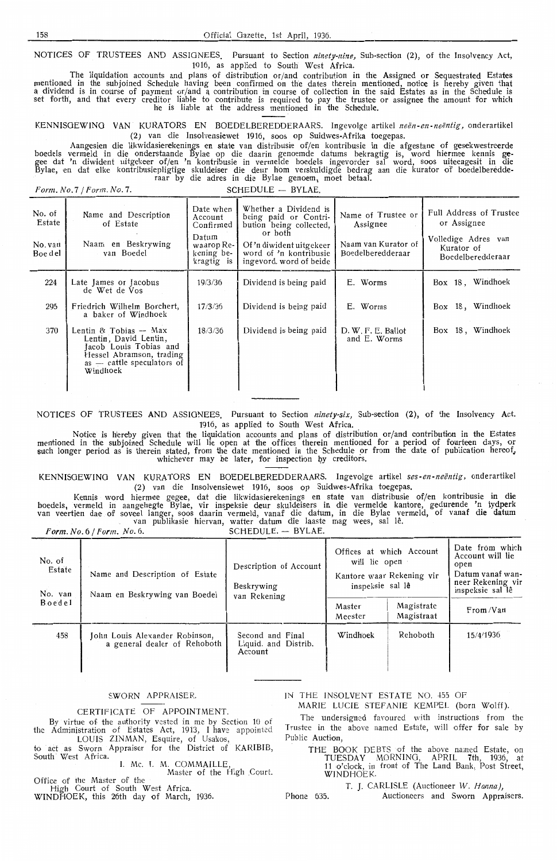NOTICES OF TRUSTEES AND ASSIGNEES. Pursuant to Section *nlnety-nine,* Sub-section (2), of the Insolvency Act, 1916, as applied to South West Africa.

The liquidation accounts and plans of distribution or/and contribution in the Assigned or Sequestrated Estates mentioned in the subjoined Schedule having been confirmed on the dates therein mentioned, notice is hereby given that<br>a dividend is in course of payment or/and a contribution in course of collection in the said Estates as set forth, and that every creditor liable to contribute is required to pay the trustee or assignee the amount for which he is liable at the address mentioned in the Schedule.

KENNISGEWING VAN KURATORS EN BOEDELBEREDDERAARS. Ingevolge artikel *neën-en-neëntig*, onderartikel (2) van die Insolvensiewet 1916, soos op Suidwes-Afrika toegepas.

Aangesien die likwidasierekenings en state van distribusie of/en kontribusie in die afgestane of gesekwestreerde boedels vermeld in die onderstaande Bylae op die daarin genoemde datums bekragtig is, word hiermee kennis g**e**gee dat 'n diwident uitgekeer of/en 'n kontribusie in vermelde boedels ingevorder sal word, soos uiteengesit in die<br>Bylae, en dat elke kontribusiepligtige skuldeiser die deur hom verskuldigde bedrag aan die kurator of boed

 $Form. No. 7 / Form. No. 7.$  SCHEDULE - BYLAE.

| No. of<br>Estate<br>No. van<br>Boe del | Name and Description<br>of Estate<br>Naam en Beskrywing<br>van Boedel                                                                                | Date when<br>Account<br>Confirmed<br>Datum<br>waarop $Re-$<br>kening be-<br>kragtig is | Whether a Dividend is<br>being paid or Contri-<br>bution being collected,<br>or both<br>Of 'n diwident uitgekeer<br>word of 'n kontribusie<br>ingevord. word of beide | Name of Trustee or<br>Assignee<br>Naam van Kurator of<br>Boedelberedderaar | Full Address of Trustee<br>or Assignee<br>Volledige Adres van<br>Kurator of<br>Boedelberedderaar |
|----------------------------------------|------------------------------------------------------------------------------------------------------------------------------------------------------|----------------------------------------------------------------------------------------|-----------------------------------------------------------------------------------------------------------------------------------------------------------------------|----------------------------------------------------------------------------|--------------------------------------------------------------------------------------------------|
| 224                                    | Late James or Jacobus<br>de Wet de Vos                                                                                                               | 19/3/36                                                                                | Dividend is being paid                                                                                                                                                | E. Worms                                                                   | Box 18, Windhoek                                                                                 |
| 295                                    | Friedrich Wilhelm Borchert,<br>a baker of Windhoek                                                                                                   | 17/3/36                                                                                | Dividend is being paid                                                                                                                                                | E. Worms                                                                   | Box 18, Windhoek                                                                                 |
| 370                                    | Lentin & Tobias $-$ Max<br>Lentin, David Lentin,<br>Jacob Louis Tobias and<br>Hessel Abramson, trading<br>$as - c$ cattle speculators of<br>Windhoek | 18/3/36                                                                                | Dividend is being paid                                                                                                                                                | D. W. F. E. Ballot<br>and E. Worms                                         | Box 18, Windhoek                                                                                 |

NOTICES OF TRUSTEES AND ASSIGNEES. Pursuant to Section *ninety-six*, Sub-section (2), of the Insolvency Act. 1916, as applied to South West Africa.

Notice is hereby given that the liquidation accounts and plans of distribution or/and contribution **in** the Estates mentioned in the subjoined Schedule will lie open at the offices therein mentioned for a period of fourteen days, or<br>such longer period as is therein stated, from the date mentioned in the Schedule or from the date of publ whichever may be later, for inspection by creditors.

KENNISGEWING VAN KURATORS EN BOEDELBEREDDERAARS. Ingevolge artikel ses-en-neëntig, onderartikel (2) van die Insolvensiewet 1916, soos op Suidwes-Afrika toegepas.

Kennis word hiermee gegee, dat die likwidasierekenings en state van distribusie of/en kontribusie in die boedels, vermeld in aangehegte Bylae, vir inspeksie deur skuldeisers in die vermelde kantore, gedurende 'n tydperk<br>van veertien dae of soveel langer, soos daarin vermeld, vanaf die datum, in die Bylae vermeld, of vanaf die

| Form. No. $6$ / Form. No. $6$ . | $SCHEDULE. - BYLAE.$ |
|---------------------------------|----------------------|
|                                 |                      |

| No. of<br>Estate<br>No. van | Description of Account<br>Name and Description of Estate<br>Beskrywing<br>Naam en Beskrywing van Boedel<br>van Rekening |                                                     | Offices at which Account<br>will lie open<br>Kantore waar Rekening vir<br>inspeksie sal lê |                          | Date from which<br>Account will lie<br>open<br>Datum vanaf wan-<br>neer Rekening vir<br>inspeksie sal lê |  |
|-----------------------------|-------------------------------------------------------------------------------------------------------------------------|-----------------------------------------------------|--------------------------------------------------------------------------------------------|--------------------------|----------------------------------------------------------------------------------------------------------|--|
| Boedel                      |                                                                                                                         |                                                     | Master<br>Meester                                                                          | Magistrate<br>Magistraat | From/Van                                                                                                 |  |
| 458                         | John Louis Alexander Robinson,<br>a general dealer of Rehoboth                                                          | Second and Final<br>Liquid. and Distrib.<br>Account | Windhoek                                                                                   | Rehoboth                 | 15/4/1936                                                                                                |  |

#### SWORN APPRAISER.

#### CERTIFICATE OF APPOINTMENT.

By virtue of the authority vested in me by Section 10 of the Administration of Estates Act, 1913, I have appointed LOUIS ZINMAN, Esquire, of Usakos,

to act as Sworn Appraiser for the District of KARIBIB, South· West Africa.

I. Mc. I. M. COMMAILLE,

Master of the High Court. Office of the Master of the<br>High Court of South West Africa.

WINDHOEK, this 26th day of March, 1936.

IN THE INSOLVENT ESTATE NO. 455 OF

MARIE LUCIE STEFANIE KEMPEL (born Wolff). The undersigned favoured with instructions from the

Trustee in the above named Estate, will offer for sale by Public Auction,

> THE BOOK DEBTS of the above named Estate, on TUESDAY MORNING, APRIL **7th,** 1936, at 11 o'clock, in front of The Land Bank, Post Street, **WINDHOEK.**

> > T. J. CARLISLE (Auctioneer W. Hanna),

Phone 635. Auctioneers and Sworn Appraisers.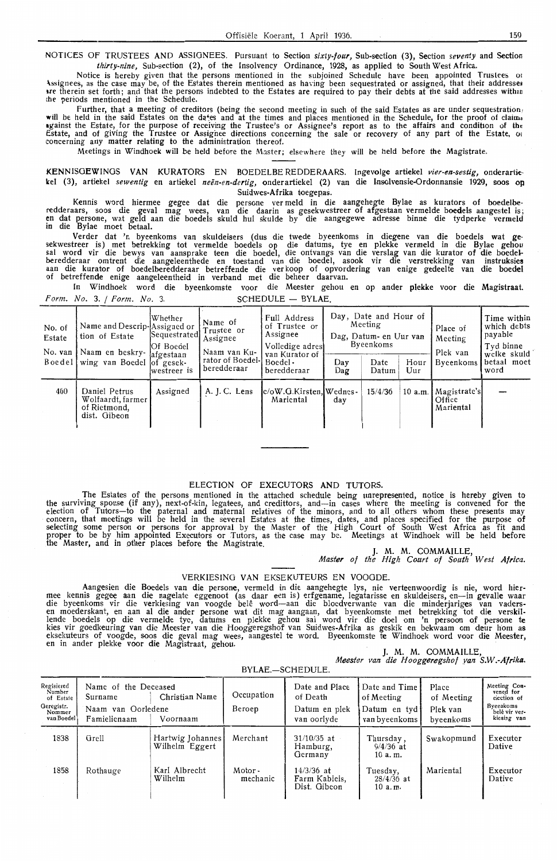NOTICES OF TRUSTEES AND ASSIGNEES. Pursuant to Section *sixty-four,* Sub-section (3), Section *seventy* and Section *thirty-nine,* Sub-section (2), of the Insolvency Ordinance, 1928, as applied to South West Africa.

Notice is hereby given that the persons mentioned in the subjoined Schedule have been appointed Trustees or Assignees, as the case may be, of the Estates therein mentioned as having been sequestrated or assigned, that their addresses I. Therein set forth; and that the persons indebted to the Estates are required to pay their debts at the said addresses within the periods mentioned in the Schedule.<br>
Further, that a meeting of creditors (being the second

Further, that a meeting of creditors (being the second meeting in such of the said Estates as are under sequestration)<br>will be held in the said Estates on the dates and at the times and places mentioned in the Schedule, fo against the Estate, for the purpose of receiving the Trustee's or Assignee's report as to the affairs and condition of tht Estate, and of giving the Trustee or Assignee directions concerning the sale or recovery of any part of the Estate,  $\omega_i$ concerning any matter relating to the administration thereof.

Meetings in Windhoek will be held before the Master; elsewhere they will be held before the Magistrate.

KENNISGEWINGS VAN KURATORS EN BOEDELBEREDDERAARS. lngevolge artiekel *vier-en-sestig,* onderartie· kel (3), artiekel sewentig en artiekel neën-en-dertig, onderartiekel (2) van die Insolvensie-Ordonnansie 1929, soos on Suidwes-Afrika toegepas.

Kennis word hiermee gegee dat redderaars, soos die geval mag wees, **en** dat persoae, wat geld aan die boedels in die Bylae moet betaal. die persone ver meld in die aangehegte Bylae as kurators of boedelbe-<br>van die daarin as gesekwestreer of afgestaan vermelde boedels aangestel is; skuld hul skulde by die aangegewe adresse binne die tydperke vermeld

Verder dat 'n byeenkoms van skuldeisers (dus die twede byeenkoms in diegene van die boedels wat ge- لا verder <br>sekwestreer is) met betrekking tot vermelde boedels op die datums, tye en plekke vermeld in die Bylae gehou sal word vir die bewys van aansprake teen die boedel, die ontvangs van die verslag van die kurator of die boedelberedderaar omtrent die aangeleenthede en toestand van die boedel, asook vir die verstrekking van instruksies<br><sup>aan die kurator of boedelberedderaar betreffende die verkoop of opvordering van enige gedeelte van die boedel</sup> of betreffende enige aangeleentheid in verband met die beheer daarvan.

In Windhoek word die byeenkomste voor die Meester gehou en op antler plekke voor die Magistraat.  $Form. No. 3. / Form. No. 3.$  SCHEDULE - BYLAE.

| No. of<br>Estate<br>No. van | Name and Descrip-Assigned or<br>tion of Estate<br>Naam en beskry-<br>Boedel wing van Boedel of gesek- | Whether<br>Sequestrated<br>Of Boedel<br>lafgestaan<br>lwestreer is | Name of<br>Trustee or<br>Assignee<br>Naam van Ku-<br>rator of Boedel-l<br>beredderaar | Full Address<br>of Trustee or<br>Assignee<br>Volledige adres<br>van Kurator of<br>Boedel -<br>beredderaar | Dav<br>Dag | Day, Date and Hour of<br>Meeting<br>Dag, Datum- en Uur van<br>Byeenkoms<br>Date<br>Datum | Hour<br>Uur | Place of<br>Meeting<br>Plek van<br>Byeenkoms  | Time within<br>which debts<br>payable<br>Tyd binne<br>welke skuld<br>betaal moet<br>word |
|-----------------------------|-------------------------------------------------------------------------------------------------------|--------------------------------------------------------------------|---------------------------------------------------------------------------------------|-----------------------------------------------------------------------------------------------------------|------------|------------------------------------------------------------------------------------------|-------------|-----------------------------------------------|------------------------------------------------------------------------------------------|
| 460                         | Daniel Petrus<br>Wolfaardt, farmer<br>of Rietmond,<br>dist. Gibeon                                    | Assigned                                                           | A. J. C. Lens                                                                         | c/oW.G.Kirsten, Wednes-<br>Mariental                                                                      | day        | 15/4/36                                                                                  |             | 10 a.m.   Magistrate's<br>Office<br>Mariental |                                                                                          |

ELECTION OF EXECUTORS AND TUTORS.<br>The Estates of the persons mentioned in the attached schedule being unrepresented, notice is hereby given to The Estates of the persons mentioned in the attached schedule being unrepresented, notice is hereby given to<br>the surviving spouse (if any), next-of-kin, legatees, and credittors, and—in cases where the meeting is convened election of Tutors-to the paternal and majernal relatives of the minors, and to all others whom these presents may concern, that meetings will be held in the several Estates at the times, dates, and places specified for the purpose of selecting some person or persons for approval by the Master of the High Court of South West Africa as fit and proper to be by him appointed Executors or Tutors, as the case may be. Meetings at Windhoek will be held before the Master, and in other places before the Magistrate.<br>
J. M. M. COMMAILLE,

*J. M. M. COMMAILLE,*<br>*Master of the High Court of South West Africa.* 

#### VERKIESING VAN EKSEKUTEURS EN VOOGDE.

Aangesien die Boedels van die persone, vermeld in die aangehegte lys, nie verteenwoordig is nie, word hier-<br>mee kennis gegee aan die nagelate eggenoot (as daar een is) erfgename, legatarisse en skuldeisers, en—in gevalle w lende boedels op die vermelde tye, datums en plekke gehou sal word vir die doe! om 'n persoon of persone te kies vir goedkeuring van die Meester van die Hooggeregshof van Suidwes-Afrika as geskik en bekwaam om deur hom as<br>eksekuteurs of voogde, soos die geval mag wees, aangestel te word. Byeenkomste te Windhoek word voor die Mee

J. **M. M.** COMMAILLE, *Meester van die Hooggeregshof yan S.W.-A/rika.* 

BYLAE.-SCHEDULE

| Regisiered<br>Number<br>of Estate<br>Geregistr.<br>Nommer<br>van Boedel | Name of the Deceased<br>Surname<br>Naam van Oorledene<br>Famielienaam | Christian Name<br>Voornaam         | Occupation<br>Beroep | Date and Place<br>of Death<br>Datum en plek<br>van oorlyde | Date and Time<br>of Meeting<br>Datum en tyd<br>van byeenkoms | Place<br>of Meeting<br>Plek van<br>byeenkoms | Meeting Con-<br>vened for<br>election of<br>Byeenkoms<br>belê vir ver-<br>kiesing van |
|-------------------------------------------------------------------------|-----------------------------------------------------------------------|------------------------------------|----------------------|------------------------------------------------------------|--------------------------------------------------------------|----------------------------------------------|---------------------------------------------------------------------------------------|
| 1838                                                                    | Grell                                                                 | Hartwig Johannes<br>Wilhelm Eggert | Merchant             | $31/10/35$ at<br>Hamburg,<br>Germany                       | Thursday,<br>$9/4/36$ at<br>10a.m.                           | Swakopmund                                   | Executor<br>Dative                                                                    |
| 1858                                                                    | Rothauge                                                              | Karl Albrecht<br>Wilhelm           | Motor-<br>mechanic   | $14/3/36$ at<br>Farm Kabieis.<br>Dist. Gibeon              | Tuesday,<br>$28/4/36$ at<br>10a.m.                           | Mariental                                    | Executor<br>Dative                                                                    |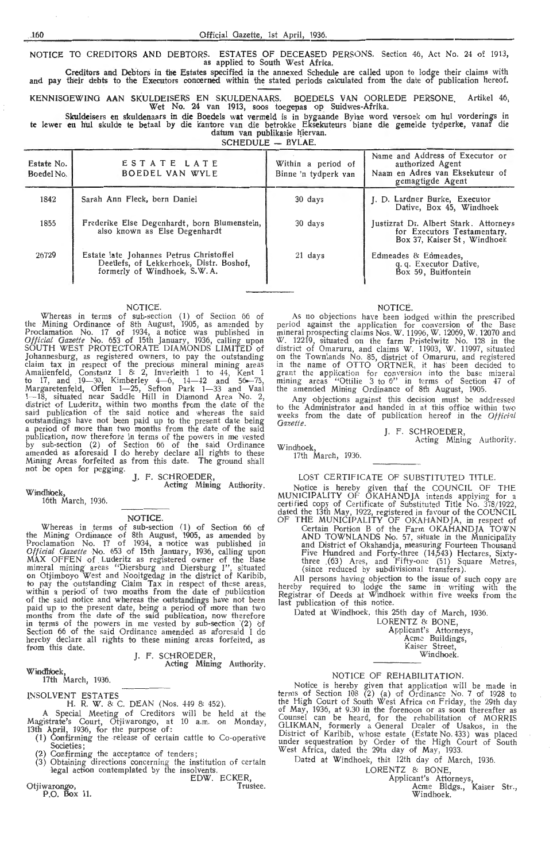NOTICE TO CREDITORS AND DEBTORS. ESTATES Of DECEASED PERSONS. Section 46, Act No. 24 of 1913, as applied to South West Africa.

Creditors and Debtors in the Estates specified in the annexed Schedule are called upon to lodge their claims with and pay their debts to the Executors concerned within the stated periods calculated from the date of publication hereof.

KENNISGEWING AAN SKULDEISERS EN SKULDENAARS. BOEDELS VAN OORLEDE PERSONE. Artikel 46, Wet No. 24 van 1913, soos toegepas op Suidwes-Afrika.

Skuldeisers en skuldenaars in die Boedels wat vermeld is in bygaande Bylae word versoek om hul vorderings in te lew**er en hul s**kuld**e te betaal by die kanto**re van die betrokke Eksekuteurs binne die gemelde tydperke, vanaf die datum van publikasie hiervan.

SCHEDULE — BYLAE.

| Estate No.<br>Boedel No. | ESTATE LATE<br>BOEDEL VAN WYLE                                                                                     | Within a period of<br>Binne 'n tydperk van | Name and Address of Executor or<br>authorized Agent<br>Naam en Adres van Eksekuteur of<br>gemagtigde Agent |
|--------------------------|--------------------------------------------------------------------------------------------------------------------|--------------------------------------------|------------------------------------------------------------------------------------------------------------|
| 1842                     | Sarah Ann Fleck, born Daniel                                                                                       | 30 days                                    | J. D. Lardner Burke, Executor<br>Dative, Box 45, Windhoek                                                  |
| 1855                     | Frederike Else Degenhardt, born Blumenstein,<br>also known as Else Degenhardt                                      | 30 days                                    | Justizrat Dr. Albert Stark. Attorneys<br>for Executors Testamentary,<br>Box 37, Kaiser St, Windhoek        |
| 26729                    | Estate late Johannes Petrus Christoffel<br>Deetlefs, of Lekkerhoek, Distr. Boshof,<br>formerly of Windhoek, S.W.A. | 21 days                                    | Edmeades & Edmeades,<br>q. q. Executor Dative,<br>Box 59, Bultfontein                                      |

#### NOTICE.

Whereas in terms of sub-section (1) of Section 66 of the Mining Ordinance of 8th August, 1905, as amended by Proclamation No. 17 of 1934, a notice was published in Official Gazette No. 653 of 15th January, 1936, calling upon SOUTH WEST PROTECTORATE DIAMONDS LIMITED of Johannesburg, as registered owners, to pay the outstanding claim tax in respect of the precious mineral mining areas<br>Amalienfeld, Constanz 1 & 2, Inverleith 1 to 44, Kent 1 to 17, and 19-30, Kimberley  $4-6$ ,  $14-42$  and  $56-75$ , Margaretenfeld, Offen 1-25, Sefton Park 1-33 and Vaal 1—18, situated near Saddle Hill in Diamond Area No. 2, district of Luderitz, within two months from the date of the said publication of the said notice and whereas the said<br>outstandings have not been paid up to the present date being<br>a period of more than two months from the date of the said publication, now therefore in terms of the powers in me vested by sub-section (2) of Section 66 of the said Ordinance<br>amended as aforesaid I do hereby declare all rights to these<br>Mining Areas forfeited as from this date. The ground sh'all not be open for pegging.

J. F. SCHROEDER,

Acting Mining Authority.

#### Windhoek, 16th March, 1936.

Whereas in terms of sub-section (1) of Section 66 of the Mining Ordinance of 8th August, 1905, as amended by Proclamation No. 17 of 1934, a notice was published in *Official .Gazette* No. 653 of 15th January, 1936, calling upon MAX OFFEN of Luderitz as registered owner of the Base mineral mining areas "Diersburg and Diersburg I", situated on Otjimboyo West and Nooitgedag in the district of Karibib, to pay the outstanding Claim Tax in respect of these areas, within a period of two months from the date of publication of the said notice and whereas the outstandings have not been paid up to the present date, being a period of more than two months from the date of the said publication, now therefore in terms of the powers in me vested by sub-section (2) of Section 66 of the said Ordinance amended as aforesaid I do hereby declare all rights to these mining areas forfeited, as<br>from this date.

# J. f. SCHROEDER, Acting Mining Authority.

#### W iind'hioek, 17th March, 1936.

INSOLVENT ESTATES H. R. W. & C. DEAN (Nos. 449 & 452).

A Special Meeting of Creditors will be held at the Magistrate's Gou rt, Otjiwarongo, at 10 a.m. on Monday,

13th April, 1936, for the purpose of: (1) Confirming the release of certain cattle to Co-operative

- Societies; (2) Confirming the acceptance of tenders;
- (3) Obtaining directions concerning the institution of certain legal action contemplated by the insolvents.<br>EDW. ECKER,

EDW. ECKER,<br>Otjiwarongo, Trustee. P.O. Box 11.

#### NOTICE.

As no objections hare been lodged within the prescribed period against the application for conversion of the Base mineral prospecting claims Nos. W. 11996, W. 12069, W. 12070 and W. 12219, situated on the farm Pristelwitz No. 128 in the<br>district of Omaruru, and claims W. 11903, W. 11997, situated<br>on the Townlands No. 85, district of Omaruru, and registered in the name of OTTO ORTNER, it has been decided to grant the application for conversion into the base mineral mining areas "Ottilie 3 to 6" in terms of Section 47 of the amended Mining Ordinance of 8th August, 1905.

Any objections against this decision must be addressed to the Administrator and handed in at this office within two to the Administrator and handed in at this office within two weeks from the date of publication hereof in the *Offici1 tl*  Gazette.

J. F. SCHROEDER, Acting Mining Authority.

Windhoek, 17th March, 1936.

#### LOST CERTIFICATE Of SUBSTITUTED TITLE.

Notice is hereby given that the COUNCIL OF THE MUNICIPALITY OF OKAHANDJA intends applying for a<br>certified copy of Certificate of Substituted Title No. 378/1922, dated the 13th May, 1922, registered in favour of the COUNCIL OF THE MUNICIPALITY OF OKAHANDJA, in respect of Certain Portion B of the Farm OKAHANDJA TOWN

AND TOWNLANDS No. 57, situate in the Municipality<br>and District of Okahandja, measuring Fourteen Thousand five Hundred and forty-three (14,543) Hectares, Sixtythree (63) Ares, and Fifty-one (51) Square Metres, (since reduced by subdivisional transfers).

AH persons having objection to the issue of such copy are hereby required to lodge the same in writing with the Registrar of Deeds at Windhoek within five weeks from the last publication of this notice.

Dated at Windhoek, this 25th day of March, 1936.

LORENTZ & BONE, Applicant's Attorneys, Acme Buildings, Kaiser Street, Windhoek.

#### NOTICE OF REHABILITATION.

Notice is hereby given that application will be made in terms of Section 108 (2) (a) of Ordinance No. 7 of 1928 to the High Court of South West Africa on Friday, the 29th day of May, 1936, at 9.30 in the forenoon or as soon thereafter as Counsel can be heard, for the rehabilitation of MORRIS GLIKMAN, formerly a General Dealer -of Usakos, in the District of Karibib, whose estate (Estate No. 433) was placed under sequestration by Order of the High Court of South West Africa, dated the 29tn day of May, 1933.

Dated at Windhoek, this 12th day of March, 1936.

LORENTZ & BONE,

Applicant's Attorneys,

Acme Bldgs., Kaiser Str., Windhoek.

#### **NOTICE.**